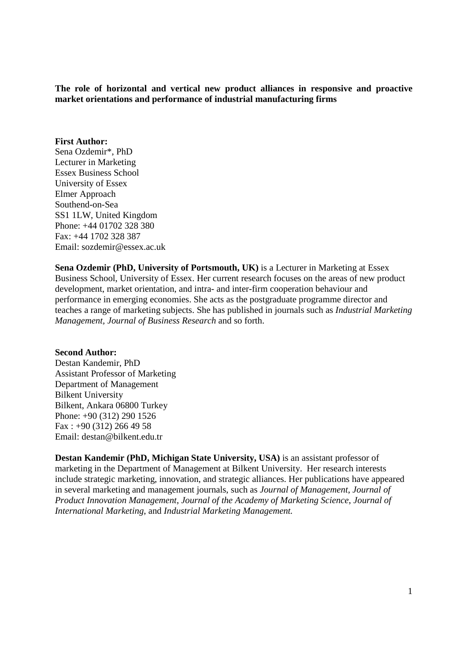**The role of horizontal and vertical new product alliances in responsive and proactive market orientations and performance of industrial manufacturing firms** 

## **First Author:**

Sena Ozdemir\*, PhD Lecturer in Marketing Essex Business School University of Essex Elmer Approach Southend-on-Sea SS1 1LW, United Kingdom Phone: +44 01702 328 380 Fax: +44 1702 328 387 Email: sozdemir@essex.ac.uk

**Sena Ozdemir (PhD, University of Portsmouth, UK)** is a Lecturer in Marketing at Essex Business School, University of Essex. Her current research focuses on the areas of new product development, market orientation, and intra- and inter-firm cooperation behaviour and performance in emerging economies. She acts as the postgraduate programme director and teaches a range of marketing subjects. She has published in journals such as *Industrial Marketing Management, Journal of Business Research* and so forth.

## **Second Author:**

Destan Kandemir, PhD Assistant Professor of Marketing Department of Management Bilkent University Bilkent, Ankara 06800 Turkey Phone: +90 (312) 290 1526  $Fax: +90(312) 266 49 58$ Email: destan@bilkent.edu.tr

**Destan Kandemir (PhD, Michigan State University, USA)** is an assistant professor of marketing in the Department of Management at Bilkent University. Her research interests include strategic marketing, innovation, and strategic alliances. Her publications have appeared in several marketing and management journals, such as *Journal of Management*, *Journal of Product Innovation Management*, *Journal of the Academy of Marketing Science*, *Journal of International Marketing*, and *Industrial Marketing Management.*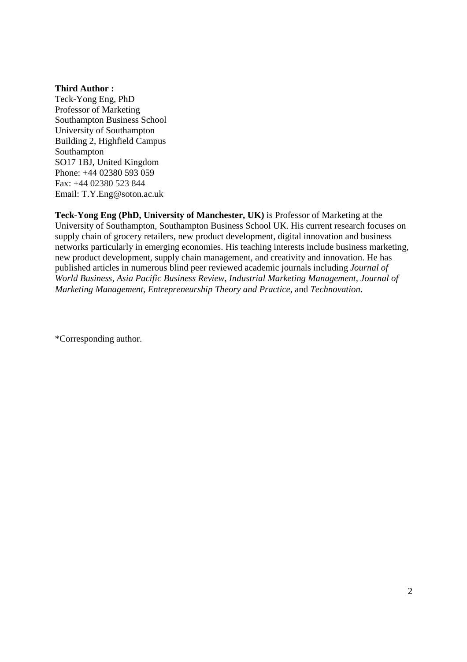## **Third Author :**

Teck-Yong Eng, PhD Professor of Marketing Southampton Business School University of Southampton Building 2, Highfield Campus Southampton SO17 1BJ, United Kingdom Phone: +44 02380 593 059 Fax: +44 02380 523 844 Email: T.Y.Eng@soton.ac.uk

**Teck-Yong Eng (PhD, University of Manchester, UK)** is Professor of Marketing at the University of Southampton, Southampton Business School UK. His current research focuses on supply chain of grocery retailers, new product development, digital innovation and business networks particularly in emerging economies. His teaching interests include business marketing, new product development, supply chain management, and creativity and innovation. He has published articles in numerous blind peer reviewed academic journals including *Journal of World Business, Asia Pacific Business Review, Industrial Marketing Management, Journal of Marketing Management, Entrepreneurship Theory and Practice*, and *Technovation*.

\*Corresponding author.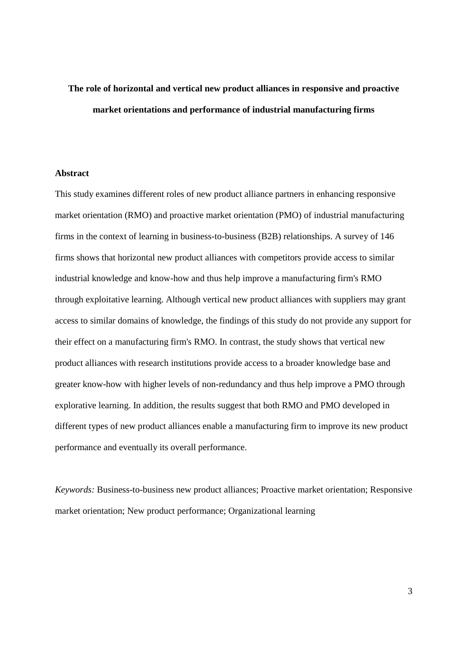# **The role of horizontal and vertical new product alliances in responsive and proactive market orientations and performance of industrial manufacturing firms**

## **Abstract**

This study examines different roles of new product alliance partners in enhancing responsive market orientation (RMO) and proactive market orientation (PMO) of industrial manufacturing firms in the context of learning in business-to-business (B2B) relationships. A survey of 146 firms shows that horizontal new product alliances with competitors provide access to similar industrial knowledge and know-how and thus help improve a manufacturing firm's RMO through exploitative learning. Although vertical new product alliances with suppliers may grant access to similar domains of knowledge, the findings of this study do not provide any support for their effect on a manufacturing firm's RMO. In contrast, the study shows that vertical new product alliances with research institutions provide access to a broader knowledge base and greater know-how with higher levels of non-redundancy and thus help improve a PMO through explorative learning. In addition, the results suggest that both RMO and PMO developed in different types of new product alliances enable a manufacturing firm to improve its new product performance and eventually its overall performance.

*Keywords:* Business-to-business new product alliances; Proactive market orientation; Responsive market orientation; New product performance; Organizational learning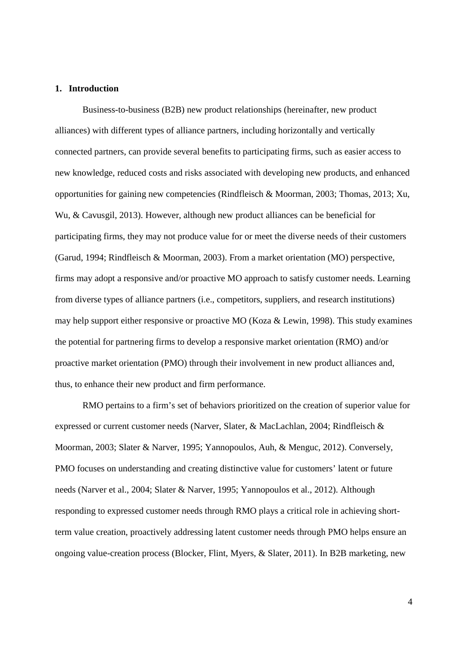## **1. Introduction**

Business-to-business (B2B) new product relationships (hereinafter, new product alliances) with different types of alliance partners, including horizontally and vertically connected partners, can provide several benefits to participating firms, such as easier access to new knowledge, reduced costs and risks associated with developing new products, and enhanced opportunities for gaining new competencies (Rindfleisch & Moorman, 2003; Thomas, 2013; Xu, Wu, & Cavusgil, 2013). However, although new product alliances can be beneficial for participating firms, they may not produce value for or meet the diverse needs of their customers (Garud, 1994; Rindfleisch & Moorman, 2003). From a market orientation (MO) perspective, firms may adopt a responsive and/or proactive MO approach to satisfy customer needs. Learning from diverse types of alliance partners (i.e., competitors, suppliers, and research institutions) may help support either responsive or proactive MO (Koza & Lewin, 1998). This study examines the potential for partnering firms to develop a responsive market orientation (RMO) and/or proactive market orientation (PMO) through their involvement in new product alliances and, thus, to enhance their new product and firm performance.

RMO pertains to a firm's set of behaviors prioritized on the creation of superior value for expressed or current customer needs (Narver, Slater, & MacLachlan, 2004; Rindfleisch & Moorman, 2003; Slater & Narver, 1995; Yannopoulos, Auh, & Menguc, 2012). Conversely, PMO focuses on understanding and creating distinctive value for customers' latent or future needs (Narver et al., 2004; Slater & Narver, 1995; Yannopoulos et al., 2012). Although responding to expressed customer needs through RMO plays a critical role in achieving shortterm value creation, proactively addressing latent customer needs through PMO helps ensure an ongoing value-creation process (Blocker, Flint, Myers, & Slater, 2011). In B2B marketing, new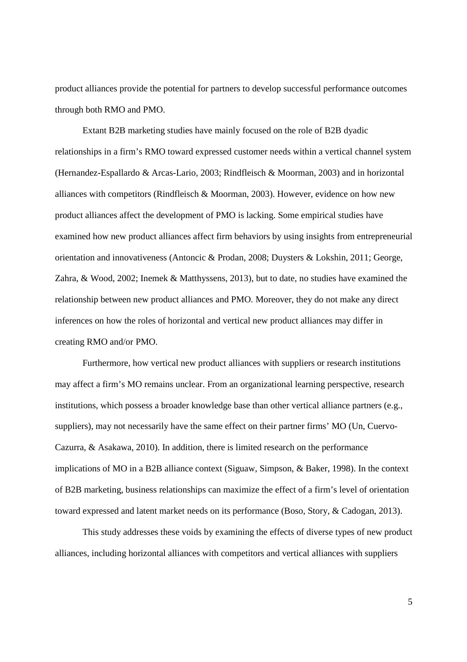product alliances provide the potential for partners to develop successful performance outcomes through both RMO and PMO.

Extant B2B marketing studies have mainly focused on the role of B2B dyadic relationships in a firm's RMO toward expressed customer needs within a vertical channel system (Hernandez-Espallardo & Arcas-Lario, 2003; Rindfleisch & Moorman, 2003) and in horizontal alliances with competitors (Rindfleisch & Moorman, 2003). However, evidence on how new product alliances affect the development of PMO is lacking. Some empirical studies have examined how new product alliances affect firm behaviors by using insights from entrepreneurial orientation and innovativeness (Antoncic & Prodan, 2008; Duysters & Lokshin, 2011; George, Zahra, & Wood, 2002; Inemek & Matthyssens, 2013), but to date, no studies have examined the relationship between new product alliances and PMO. Moreover, they do not make any direct inferences on how the roles of horizontal and vertical new product alliances may differ in creating RMO and/or PMO.

Furthermore, how vertical new product alliances with suppliers or research institutions may affect a firm's MO remains unclear. From an organizational learning perspective, research institutions, which possess a broader knowledge base than other vertical alliance partners (e.g., suppliers), may not necessarily have the same effect on their partner firms' MO (Un, Cuervo-Cazurra, & Asakawa, 2010). In addition, there is limited research on the performance implications of MO in a B2B alliance context (Siguaw, Simpson, & Baker, 1998). In the context of B2B marketing, business relationships can maximize the effect of a firm's level of orientation toward expressed and latent market needs on its performance (Boso, Story, & Cadogan, 2013).

This study addresses these voids by examining the effects of diverse types of new product alliances, including horizontal alliances with competitors and vertical alliances with suppliers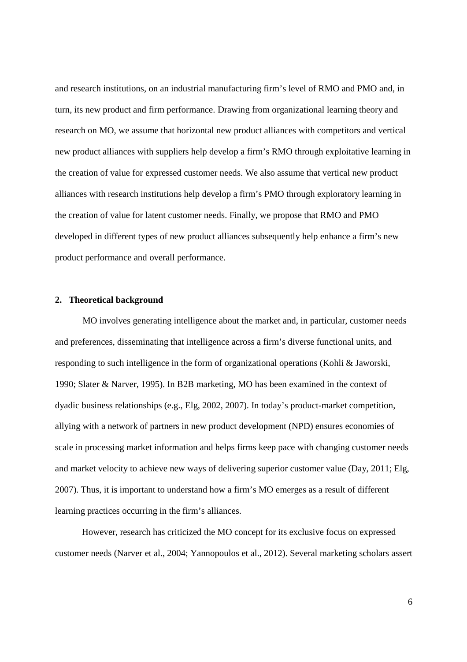and research institutions, on an industrial manufacturing firm's level of RMO and PMO and, in turn, its new product and firm performance. Drawing from organizational learning theory and research on MO, we assume that horizontal new product alliances with competitors and vertical new product alliances with suppliers help develop a firm's RMO through exploitative learning in the creation of value for expressed customer needs. We also assume that vertical new product alliances with research institutions help develop a firm's PMO through exploratory learning in the creation of value for latent customer needs. Finally, we propose that RMO and PMO developed in different types of new product alliances subsequently help enhance a firm's new product performance and overall performance.

## **2. Theoretical background**

MO involves generating intelligence about the market and, in particular, customer needs and preferences, disseminating that intelligence across a firm's diverse functional units, and responding to such intelligence in the form of organizational operations (Kohli & Jaworski, 1990; Slater & Narver, 1995). In B2B marketing, MO has been examined in the context of dyadic business relationships (e.g., Elg, 2002, 2007). In today's product-market competition, allying with a network of partners in new product development (NPD) ensures economies of scale in processing market information and helps firms keep pace with changing customer needs and market velocity to achieve new ways of delivering superior customer value (Day, 2011; Elg, 2007). Thus, it is important to understand how a firm's MO emerges as a result of different learning practices occurring in the firm's alliances.

However, research has criticized the MO concept for its exclusive focus on expressed customer needs (Narver et al., 2004; Yannopoulos et al., 2012). Several marketing scholars assert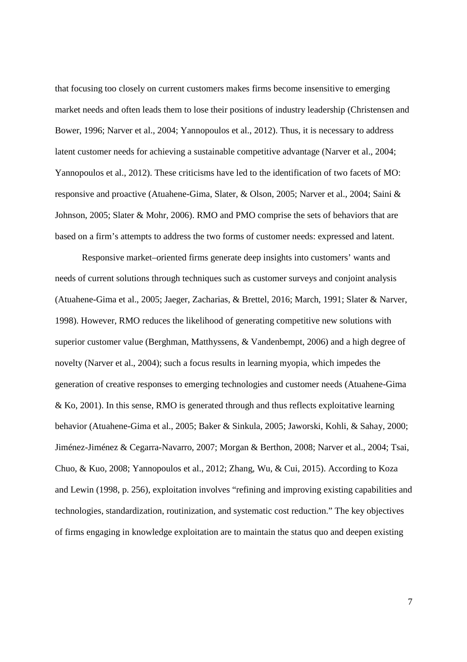that focusing too closely on current customers makes firms become insensitive to emerging market needs and often leads them to lose their positions of industry leadership (Christensen and Bower, 1996; Narver et al., 2004; Yannopoulos et al., 2012). Thus, it is necessary to address latent customer needs for achieving a sustainable competitive advantage (Narver et al., 2004; Yannopoulos et al., 2012). These criticisms have led to the identification of two facets of MO: responsive and proactive (Atuahene-Gima, Slater, & Olson, 2005; Narver et al., 2004; Saini & Johnson, 2005; Slater & Mohr, 2006). RMO and PMO comprise the sets of behaviors that are based on a firm's attempts to address the two forms of customer needs: expressed and latent.

Responsive market–oriented firms generate deep insights into customers' wants and needs of current solutions through techniques such as customer surveys and conjoint analysis (Atuahene-Gima et al., 2005; Jaeger, Zacharias, & Brettel, 2016; March, 1991; Slater & Narver, 1998). However, RMO reduces the likelihood of generating competitive new solutions with superior customer value (Berghman, Matthyssens, & Vandenbempt, 2006) and a high degree of novelty (Narver et al., 2004); such a focus results in learning myopia, which impedes the generation of creative responses to emerging technologies and customer needs (Atuahene-Gima & Ko, 2001). In this sense, RMO is generated through and thus reflects exploitative learning behavior (Atuahene-Gima et al., 2005; Baker & Sinkula, 2005; Jaworski, Kohli, & Sahay, 2000; Jiménez-Jiménez & Cegarra-Navarro, 2007; Morgan & Berthon, 2008; Narver et al., 2004; Tsai, Chuo, & Kuo, 2008; Yannopoulos et al., 2012; Zhang, Wu, & Cui, 2015). According to Koza and Lewin (1998, p. 256), exploitation involves "refining and improving existing capabilities and technologies, standardization, routinization, and systematic cost reduction." The key objectives of firms engaging in knowledge exploitation are to maintain the status quo and deepen existing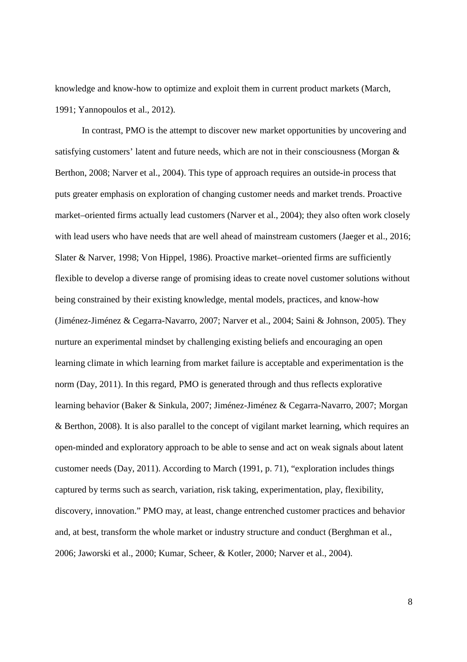knowledge and know-how to optimize and exploit them in current product markets (March, 1991; Yannopoulos et al., 2012).

In contrast, PMO is the attempt to discover new market opportunities by uncovering and satisfying customers' latent and future needs, which are not in their consciousness (Morgan & Berthon, 2008; Narver et al., 2004). This type of approach requires an outside-in process that puts greater emphasis on exploration of changing customer needs and market trends. Proactive market–oriented firms actually lead customers (Narver et al., 2004); they also often work closely with lead users who have needs that are well ahead of mainstream customers (Jaeger et al., 2016; Slater & Narver, 1998; Von Hippel, 1986). Proactive market–oriented firms are sufficiently flexible to develop a diverse range of promising ideas to create novel customer solutions without being constrained by their existing knowledge, mental models, practices, and know-how (Jiménez-Jiménez & Cegarra-Navarro, 2007; Narver et al., 2004; Saini & Johnson, 2005). They nurture an experimental mindset by challenging existing beliefs and encouraging an open learning climate in which learning from market failure is acceptable and experimentation is the norm (Day, 2011). In this regard, PMO is generated through and thus reflects explorative learning behavior (Baker & Sinkula, 2007; Jiménez-Jiménez & Cegarra-Navarro, 2007; Morgan & Berthon, 2008). It is also parallel to the concept of vigilant market learning, which requires an open-minded and exploratory approach to be able to sense and act on weak signals about latent customer needs (Day, 2011). According to March (1991, p. 71), "exploration includes things captured by terms such as search, variation, risk taking, experimentation, play, flexibility, discovery, innovation." PMO may, at least, change entrenched customer practices and behavior and, at best, transform the whole market or industry structure and conduct (Berghman et al., 2006; Jaworski et al., 2000; Kumar, Scheer, & Kotler, 2000; Narver et al., 2004).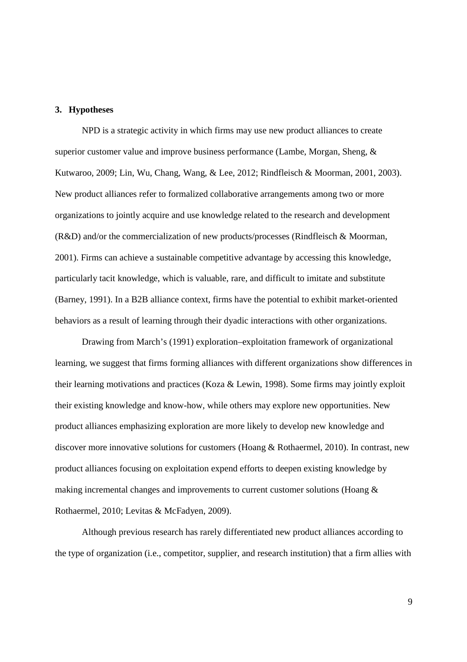## **3. Hypotheses**

NPD is a strategic activity in which firms may use new product alliances to create superior customer value and improve business performance (Lambe, Morgan, Sheng, & Kutwaroo, 2009; Lin, Wu, Chang, Wang, & Lee, 2012; Rindfleisch & Moorman, 2001, 2003). New product alliances refer to formalized collaborative arrangements among two or more organizations to jointly acquire and use knowledge related to the research and development (R&D) and/or the commercialization of new products/processes (Rindfleisch & Moorman, 2001). Firms can achieve a sustainable competitive advantage by accessing this knowledge, particularly tacit knowledge, which is valuable, rare, and difficult to imitate and substitute (Barney, 1991). In a B2B alliance context, firms have the potential to exhibit market-oriented behaviors as a result of learning through their dyadic interactions with other organizations.

Drawing from March's (1991) exploration–exploitation framework of organizational learning, we suggest that firms forming alliances with different organizations show differences in their learning motivations and practices (Koza & Lewin, 1998). Some firms may jointly exploit their existing knowledge and know-how, while others may explore new opportunities. New product alliances emphasizing exploration are more likely to develop new knowledge and discover more innovative solutions for customers (Hoang & Rothaermel, 2010). In contrast, new product alliances focusing on exploitation expend efforts to deepen existing knowledge by making incremental changes and improvements to current customer solutions (Hoang & Rothaermel, 2010; Levitas & McFadyen, 2009).

Although previous research has rarely differentiated new product alliances according to the type of organization (i.e., competitor, supplier, and research institution) that a firm allies with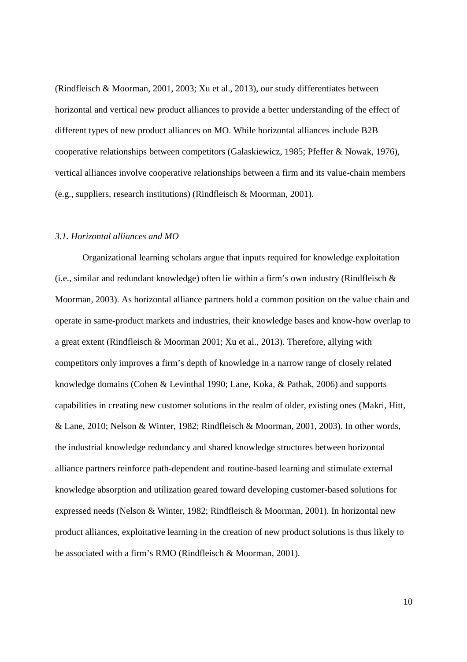(Rindfleisch & Moorman, 2001, 2003; Xu et al., 2013), our study differentiates between horizontal and vertical new product alliances to provide a better understanding of the effect of different types of new product alliances on MO. While horizontal alliances include B2B cooperative relationships between competitors (Galaskiewicz, 1985; Pfeffer & Nowak, 1976), vertical alliances involve cooperative relationships between a firm and its value-chain members (e.g., suppliers, research institutions) (Rindfleisch & Moorman, 2001).

## *3.1. Horizontal alliances and MO*

Organizational learning scholars argue that inputs required for knowledge exploitation (i.e., similar and redundant knowledge) often lie within a firm's own industry (Rindfleisch & Moorman, 2003). As horizontal alliance partners hold a common position on the value chain and operate in same-product markets and industries, their knowledge bases and know-how overlap to a great extent (Rindfleisch & Moorman 2001; Xu et al., 2013). Therefore, allying with competitors only improves a firm's depth of knowledge in a narrow range of closely related knowledge domains (Cohen & Levinthal 1990; Lane, Koka, & Pathak, 2006) and supports capabilities in creating new customer solutions in the realm of older, existing ones (Makri, Hitt, & Lane, 2010; Nelson & Winter, 1982; Rindfleisch & Moorman, 2001, 2003). In other words, the industrial knowledge redundancy and shared knowledge structures between horizontal alliance partners reinforce path-dependent and routine-based learning and stimulate external knowledge absorption and utilization geared toward developing customer-based solutions for expressed needs (Nelson & Winter, 1982; Rindfleisch & Moorman, 2001). In horizontal new product alliances, exploitative learning in the creation of new product solutions is thus likely to be associated with a firm's RMO (Rindfleisch & Moorman, 2001).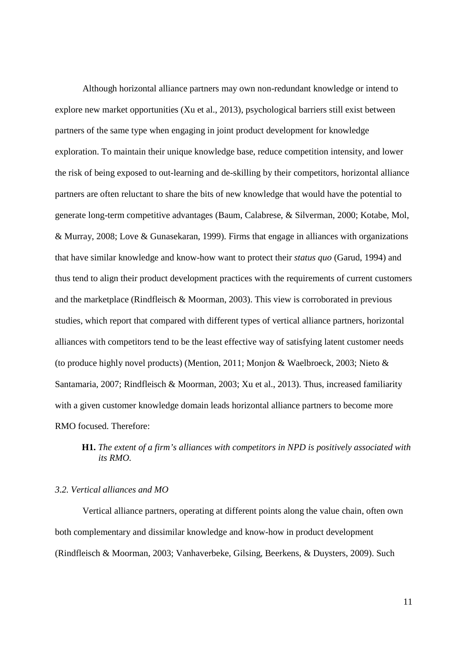Although horizontal alliance partners may own non-redundant knowledge or intend to explore new market opportunities (Xu et al., 2013), psychological barriers still exist between partners of the same type when engaging in joint product development for knowledge exploration. To maintain their unique knowledge base, reduce competition intensity, and lower the risk of being exposed to out-learning and de-skilling by their competitors, horizontal alliance partners are often reluctant to share the bits of new knowledge that would have the potential to generate long-term competitive advantages (Baum, Calabrese, & Silverman, 2000; Kotabe, Mol, & Murray, 2008; Love & Gunasekaran, 1999). Firms that engage in alliances with organizations that have similar knowledge and know-how want to protect their *status quo* (Garud, 1994) and thus tend to align their product development practices with the requirements of current customers and the marketplace (Rindfleisch & Moorman, 2003). This view is corroborated in previous studies, which report that compared with different types of vertical alliance partners, horizontal alliances with competitors tend to be the least effective way of satisfying latent customer needs (to produce highly novel products) (Mention, 2011; Monjon & Waelbroeck, 2003; Nieto & Santamaria, 2007; Rindfleisch & Moorman, 2003; Xu et al., 2013). Thus, increased familiarity with a given customer knowledge domain leads horizontal alliance partners to become more RMO focused. Therefore:

## **H1.** *The extent of a firm's alliances with competitors in NPD is positively associated with its RMO.*

## *3.2. Vertical alliances and MO*

Vertical alliance partners, operating at different points along the value chain, often own both complementary and dissimilar knowledge and know-how in product development (Rindfleisch & Moorman, 2003; Vanhaverbeke, Gilsing, Beerkens, & Duysters, 2009). Such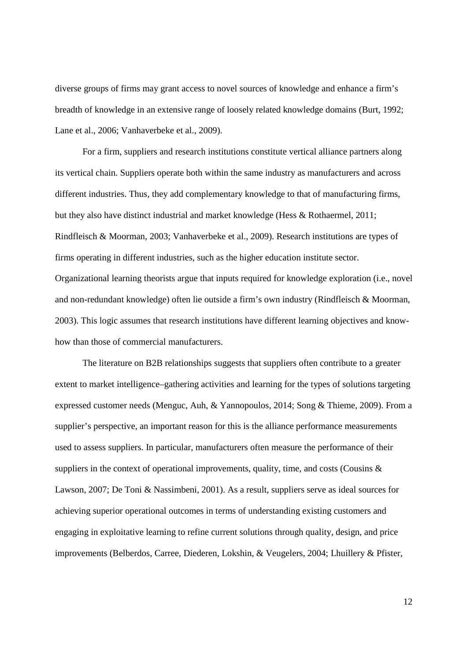diverse groups of firms may grant access to novel sources of knowledge and enhance a firm's breadth of knowledge in an extensive range of loosely related knowledge domains (Burt, 1992; Lane et al., 2006; Vanhaverbeke et al., 2009).

For a firm, suppliers and research institutions constitute vertical alliance partners along its vertical chain. Suppliers operate both within the same industry as manufacturers and across different industries. Thus, they add complementary knowledge to that of manufacturing firms, but they also have distinct industrial and market knowledge (Hess & Rothaermel, 2011; Rindfleisch & Moorman, 2003; Vanhaverbeke et al., 2009). Research institutions are types of firms operating in different industries, such as the higher education institute sector. Organizational learning theorists argue that inputs required for knowledge exploration (i.e., novel and non-redundant knowledge) often lie outside a firm's own industry (Rindfleisch & Moorman, 2003). This logic assumes that research institutions have different learning objectives and knowhow than those of commercial manufacturers.

The literature on B2B relationships suggests that suppliers often contribute to a greater extent to market intelligence–gathering activities and learning for the types of solutions targeting expressed customer needs (Menguc, Auh, & Yannopoulos, 2014; Song & Thieme, 2009). From a supplier's perspective, an important reason for this is the alliance performance measurements used to assess suppliers. In particular, manufacturers often measure the performance of their suppliers in the context of operational improvements, quality, time, and costs (Cousins & Lawson, 2007; De Toni & Nassimbeni, 2001). As a result, suppliers serve as ideal sources for achieving superior operational outcomes in terms of understanding existing customers and engaging in exploitative learning to refine current solutions through quality, design, and price improvements (Belberdos, Carree, Diederen, Lokshin, & Veugelers, 2004; Lhuillery & Pfister,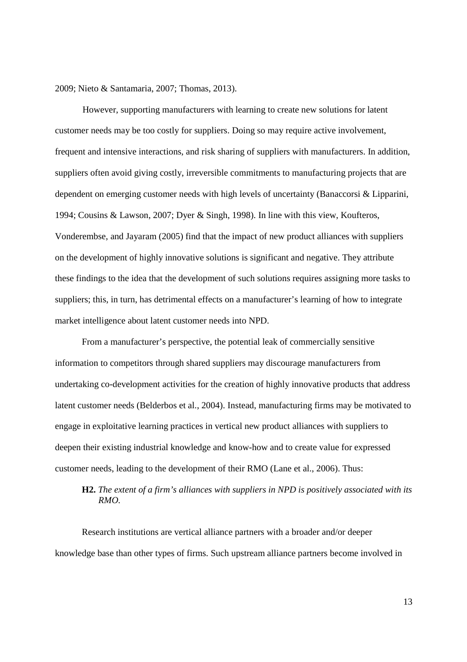2009; Nieto & Santamaria, 2007; Thomas, 2013).

However, supporting manufacturers with learning to create new solutions for latent customer needs may be too costly for suppliers. Doing so may require active involvement, frequent and intensive interactions, and risk sharing of suppliers with manufacturers. In addition, suppliers often avoid giving costly, irreversible commitments to manufacturing projects that are dependent on emerging customer needs with high levels of uncertainty (Banaccorsi & Lipparini, 1994; Cousins & Lawson, 2007; Dyer & Singh, 1998). In line with this view, Koufteros, Vonderembse, and Jayaram (2005) find that the impact of new product alliances with suppliers on the development of highly innovative solutions is significant and negative. They attribute these findings to the idea that the development of such solutions requires assigning more tasks to suppliers; this, in turn, has detrimental effects on a manufacturer's learning of how to integrate market intelligence about latent customer needs into NPD.

From a manufacturer's perspective, the potential leak of commercially sensitive information to competitors through shared suppliers may discourage manufacturers from undertaking co-development activities for the creation of highly innovative products that address latent customer needs (Belderbos et al., 2004). Instead, manufacturing firms may be motivated to engage in exploitative learning practices in vertical new product alliances with suppliers to deepen their existing industrial knowledge and know-how and to create value for expressed customer needs, leading to the development of their RMO (Lane et al., 2006). Thus:

# **H2.** *The extent of a firm's alliances with suppliers in NPD is positively associated with its RMO.*

Research institutions are vertical alliance partners with a broader and/or deeper knowledge base than other types of firms. Such upstream alliance partners become involved in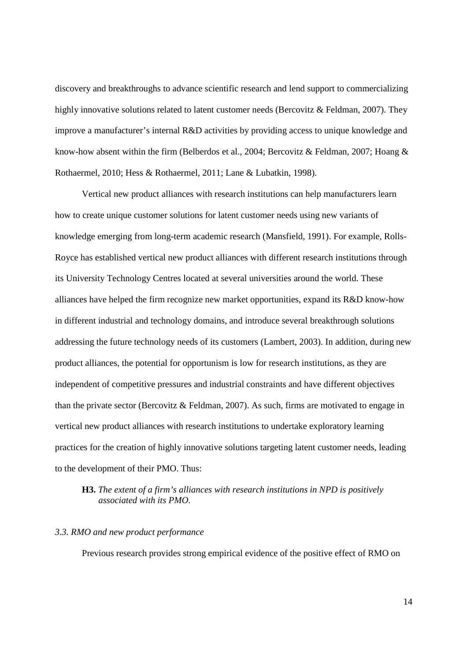discovery and breakthroughs to advance scientific research and lend support to commercializing highly innovative solutions related to latent customer needs (Bercovitz & Feldman, 2007). They improve a manufacturer's internal R&D activities by providing access to unique knowledge and know-how absent within the firm (Belberdos et al., 2004; Bercovitz & Feldman, 2007; Hoang & Rothaermel, 2010; Hess & Rothaermel, 2011; Lane & Lubatkin, 1998).

Vertical new product alliances with research institutions can help manufacturers learn how to create unique customer solutions for latent customer needs using new variants of knowledge emerging from long-term academic research (Mansfield, 1991). For example, Rolls-Royce has established vertical new product alliances with different research institutions through its University Technology Centres located at several universities around the world. These alliances have helped the firm recognize new market opportunities, expand its R&D know-how in different industrial and technology domains, and introduce several breakthrough solutions addressing the future technology needs of its customers (Lambert, 2003). In addition, during new product alliances, the potential for opportunism is low for research institutions, as they are independent of competitive pressures and industrial constraints and have different objectives than the private sector (Bercovitz & Feldman, 2007). As such, firms are motivated to engage in vertical new product alliances with research institutions to undertake exploratory learning practices for the creation of highly innovative solutions targeting latent customer needs, leading to the development of their PMO. Thus:

## **H3.** *The extent of a firm's alliances with research institutions in NPD is positively associated with its PMO.*

## *3.3. RMO and new product performance*

Previous research provides strong empirical evidence of the positive effect of RMO on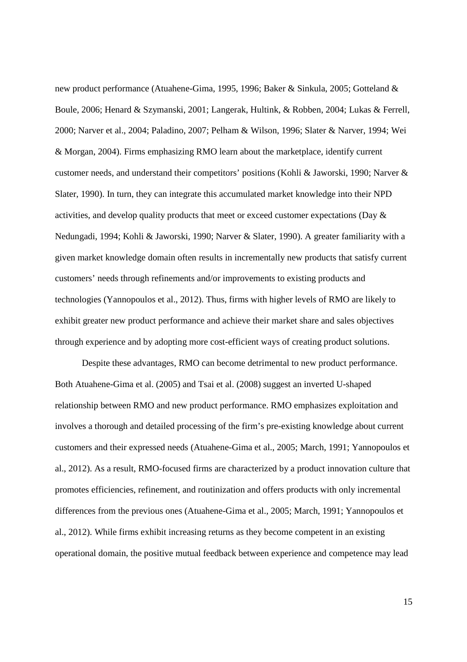new product performance (Atuahene-Gima, 1995, 1996; Baker & Sinkula, 2005; Gotteland & Boule, 2006; Henard & Szymanski, 2001; Langerak, Hultink, & Robben, 2004; Lukas & Ferrell, 2000; Narver et al., 2004; Paladino, 2007; Pelham & Wilson, 1996; Slater & Narver, 1994; Wei & Morgan, 2004). Firms emphasizing RMO learn about the marketplace, identify current customer needs, and understand their competitors' positions (Kohli & Jaworski, 1990; Narver & Slater, 1990). In turn, they can integrate this accumulated market knowledge into their NPD activities, and develop quality products that meet or exceed customer expectations (Day & Nedungadi, 1994; Kohli & Jaworski, 1990; Narver & Slater, 1990). A greater familiarity with a given market knowledge domain often results in incrementally new products that satisfy current customers' needs through refinements and/or improvements to existing products and technologies (Yannopoulos et al., 2012). Thus, firms with higher levels of RMO are likely to exhibit greater new product performance and achieve their market share and sales objectives through experience and by adopting more cost-efficient ways of creating product solutions.

Despite these advantages, RMO can become detrimental to new product performance. Both Atuahene-Gima et al. (2005) and Tsai et al. (2008) suggest an inverted U-shaped relationship between RMO and new product performance. RMO emphasizes exploitation and involves a thorough and detailed processing of the firm's pre-existing knowledge about current customers and their expressed needs (Atuahene-Gima et al., 2005; March, 1991; Yannopoulos et al., 2012). As a result, RMO-focused firms are characterized by a product innovation culture that promotes efficiencies, refinement, and routinization and offers products with only incremental differences from the previous ones (Atuahene-Gima et al., 2005; March, 1991; Yannopoulos et al., 2012). While firms exhibit increasing returns as they become competent in an existing operational domain, the positive mutual feedback between experience and competence may lead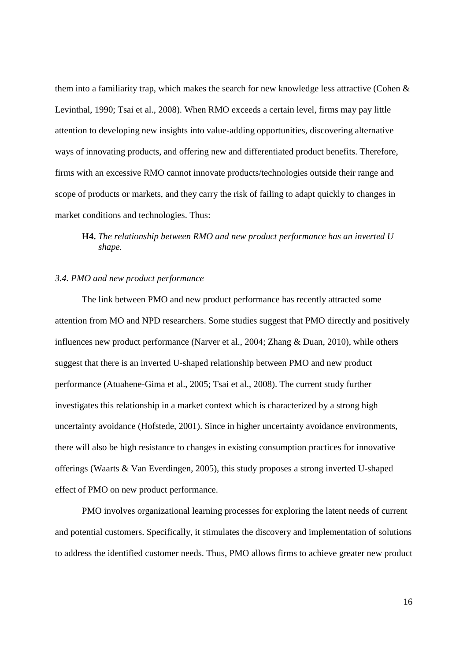them into a familiarity trap, which makes the search for new knowledge less attractive (Cohen  $\&$ Levinthal, 1990; Tsai et al., 2008). When RMO exceeds a certain level, firms may pay little attention to developing new insights into value-adding opportunities, discovering alternative ways of innovating products, and offering new and differentiated product benefits. Therefore, firms with an excessive RMO cannot innovate products/technologies outside their range and scope of products or markets, and they carry the risk of failing to adapt quickly to changes in market conditions and technologies. Thus:

# **H4.** *The relationship between RMO and new product performance has an inverted U shape.*

## *3.4. PMO and new product performance*

The link between PMO and new product performance has recently attracted some attention from MO and NPD researchers. Some studies suggest that PMO directly and positively influences new product performance (Narver et al., 2004; Zhang & Duan, 2010), while others suggest that there is an inverted U-shaped relationship between PMO and new product performance (Atuahene-Gima et al., 2005; Tsai et al., 2008). The current study further investigates this relationship in a market context which is characterized by a strong high uncertainty avoidance (Hofstede, 2001). Since in higher uncertainty avoidance environments, there will also be high resistance to changes in existing consumption practices for innovative offerings (Waarts & Van Everdingen, 2005), this study proposes a strong inverted U-shaped effect of PMO on new product performance.

PMO involves organizational learning processes for exploring the latent needs of current and potential customers. Specifically, it stimulates the discovery and implementation of solutions to address the identified customer needs. Thus, PMO allows firms to achieve greater new product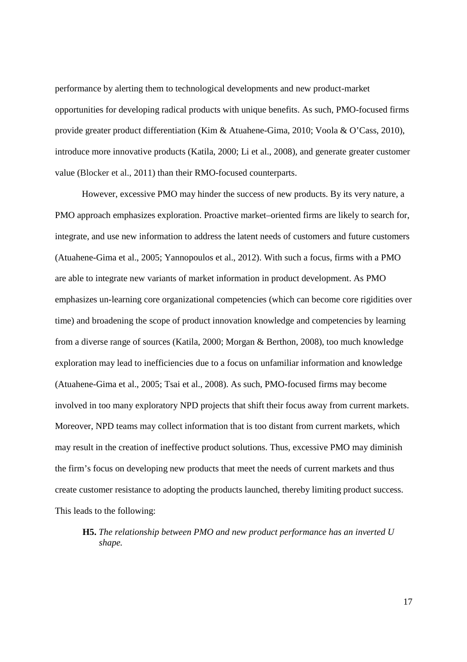performance by alerting them to technological developments and new product-market opportunities for developing radical products with unique benefits. As such, PMO-focused firms provide greater product differentiation (Kim & Atuahene-Gima, 2010; Voola & O'Cass, 2010), introduce more innovative products (Katila, 2000; Li et al., 2008), and generate greater customer value (Blocker et al., 2011) than their RMO-focused counterparts.

However, excessive PMO may hinder the success of new products. By its very nature, a PMO approach emphasizes exploration. Proactive market–oriented firms are likely to search for, integrate, and use new information to address the latent needs of customers and future customers (Atuahene-Gima et al., 2005; Yannopoulos et al., 2012). With such a focus, firms with a PMO are able to integrate new variants of market information in product development. As PMO emphasizes un-learning core organizational competencies (which can become core rigidities over time) and broadening the scope of product innovation knowledge and competencies by learning from a diverse range of sources (Katila, 2000; Morgan & Berthon, 2008), too much knowledge exploration may lead to inefficiencies due to a focus on unfamiliar information and knowledge (Atuahene-Gima et al., 2005; Tsai et al., 2008). As such, PMO-focused firms may become involved in too many exploratory NPD projects that shift their focus away from current markets. Moreover, NPD teams may collect information that is too distant from current markets, which may result in the creation of ineffective product solutions. Thus, excessive PMO may diminish the firm's focus on developing new products that meet the needs of current markets and thus create customer resistance to adopting the products launched, thereby limiting product success. This leads to the following:

# **H5.** *The relationship between PMO and new product performance has an inverted U shape.*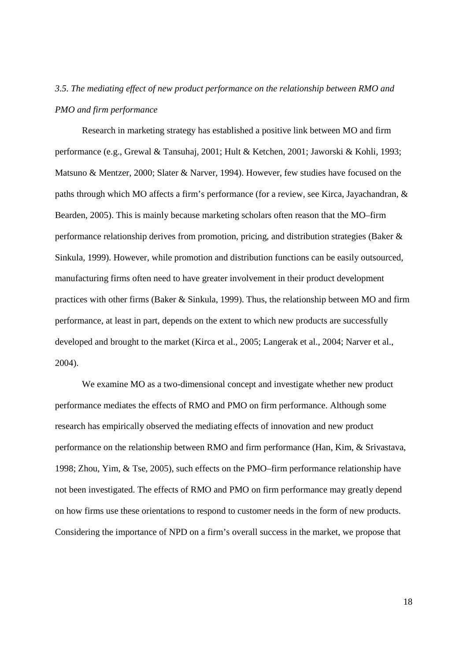# *3.5. The mediating effect of new product performance on the relationship between RMO and PMO and firm performance*

Research in marketing strategy has established a positive link between MO and firm performance (e.g., Grewal & Tansuhaj, 2001; Hult & Ketchen, 2001; Jaworski & Kohli, 1993; Matsuno & Mentzer, 2000; Slater & Narver, 1994). However, few studies have focused on the paths through which MO affects a firm's performance (for a review, see Kirca, Jayachandran, & Bearden, 2005). This is mainly because marketing scholars often reason that the MO–firm performance relationship derives from promotion, pricing, and distribution strategies (Baker & Sinkula, 1999). However, while promotion and distribution functions can be easily outsourced, manufacturing firms often need to have greater involvement in their product development practices with other firms (Baker & Sinkula, 1999). Thus, the relationship between MO and firm performance, at least in part, depends on the extent to which new products are successfully developed and brought to the market (Kirca et al., 2005; Langerak et al., 2004; Narver et al., 2004).

We examine MO as a two-dimensional concept and investigate whether new product performance mediates the effects of RMO and PMO on firm performance. Although some research has empirically observed the mediating effects of innovation and new product performance on the relationship between RMO and firm performance (Han, Kim, & Srivastava, 1998; Zhou, Yim, & Tse, 2005), such effects on the PMO–firm performance relationship have not been investigated. The effects of RMO and PMO on firm performance may greatly depend on how firms use these orientations to respond to customer needs in the form of new products. Considering the importance of NPD on a firm's overall success in the market, we propose that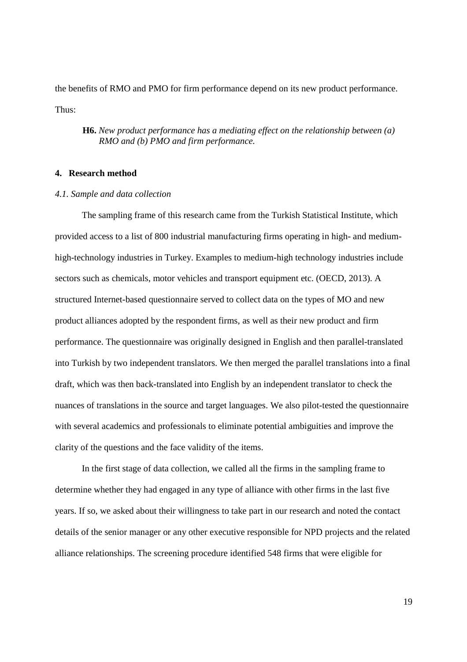the benefits of RMO and PMO for firm performance depend on its new product performance. Thus:

## **H6.** *New product performance has a mediating effect on the relationship between (a) RMO and (b) PMO and firm performance.*

## **4. Research method**

### *4.1. Sample and data collection*

The sampling frame of this research came from the Turkish Statistical Institute, which provided access to a list of 800 industrial manufacturing firms operating in high- and mediumhigh-technology industries in Turkey. Examples to medium-high technology industries include sectors such as chemicals, motor vehicles and transport equipment etc. (OECD, 2013). A structured Internet-based questionnaire served to collect data on the types of MO and new product alliances adopted by the respondent firms, as well as their new product and firm performance. The questionnaire was originally designed in English and then parallel-translated into Turkish by two independent translators. We then merged the parallel translations into a final draft, which was then back-translated into English by an independent translator to check the nuances of translations in the source and target languages. We also pilot-tested the questionnaire with several academics and professionals to eliminate potential ambiguities and improve the clarity of the questions and the face validity of the items.

In the first stage of data collection, we called all the firms in the sampling frame to determine whether they had engaged in any type of alliance with other firms in the last five years. If so, we asked about their willingness to take part in our research and noted the contact details of the senior manager or any other executive responsible for NPD projects and the related alliance relationships. The screening procedure identified 548 firms that were eligible for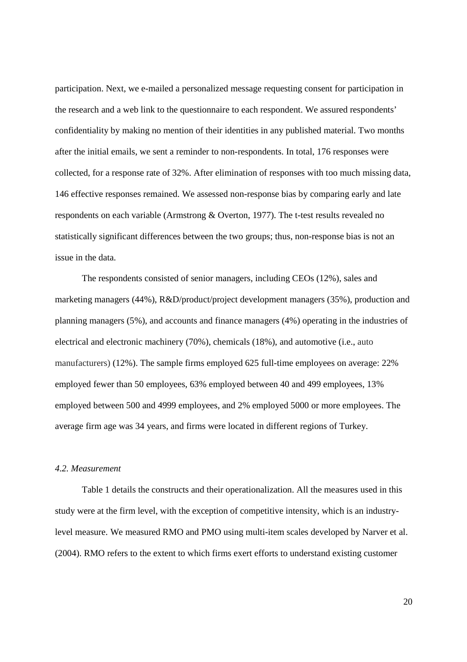participation. Next, we e-mailed a personalized message requesting consent for participation in the research and a web link to the questionnaire to each respondent. We assured respondents' confidentiality by making no mention of their identities in any published material. Two months after the initial emails, we sent a reminder to non-respondents. In total, 176 responses were collected, for a response rate of 32%. After elimination of responses with too much missing data, 146 effective responses remained. We assessed non-response bias by comparing early and late respondents on each variable (Armstrong & Overton, 1977). The t-test results revealed no statistically significant differences between the two groups; thus, non-response bias is not an issue in the data.

The respondents consisted of senior managers, including CEOs (12%), sales and marketing managers (44%), R&D/product/project development managers (35%), production and planning managers (5%), and accounts and finance managers (4%) operating in the industries of electrical and electronic machinery (70%), chemicals (18%), and automotive (i.e., auto manufacturers) (12%). The sample firms employed 625 full-time employees on average: 22% employed fewer than 50 employees, 63% employed between 40 and 499 employees, 13% employed between 500 and 4999 employees, and 2% employed 5000 or more employees. The average firm age was 34 years, and firms were located in different regions of Turkey.

## *4.2. Measurement*

Table 1 details the constructs and their operationalization. All the measures used in this study were at the firm level, with the exception of competitive intensity, which is an industrylevel measure. We measured RMO and PMO using multi-item scales developed by Narver et al. (2004). RMO refers to the extent to which firms exert efforts to understand existing customer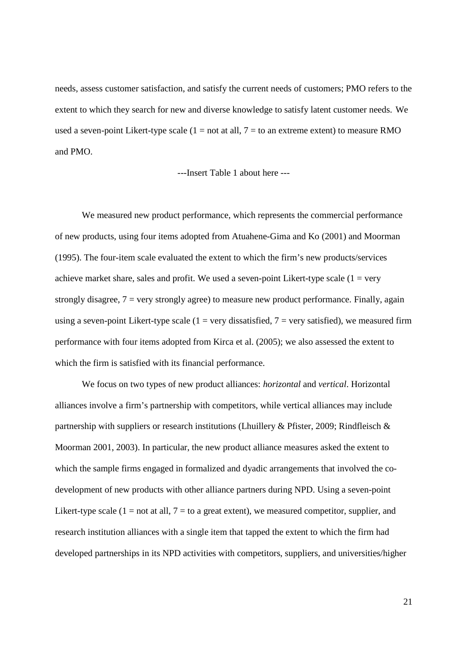needs, assess customer satisfaction, and satisfy the current needs of customers; PMO refers to the extent to which they search for new and diverse knowledge to satisfy latent customer needs. We used a seven-point Likert-type scale  $(1 = not at all, 7 = to an extreme extent)$  to measure RMO and PMO.

---Insert Table 1 about here ---

We measured new product performance, which represents the commercial performance of new products, using four items adopted from Atuahene-Gima and Ko (2001) and Moorman (1995). The four-item scale evaluated the extent to which the firm's new products/services achieve market share, sales and profit. We used a seven-point Likert-type scale  $(1 = \text{very}$ strongly disagree,  $7 = \text{very strongly agree}$  to measure new product performance. Finally, again using a seven-point Likert-type scale ( $1 = \text{very dissatisfied}$ ,  $7 = \text{very satisfied}$ ), we measured firm performance with four items adopted from Kirca et al. (2005); we also assessed the extent to which the firm is satisfied with its financial performance.

We focus on two types of new product alliances: *horizontal* and *vertical*. Horizontal alliances involve a firm's partnership with competitors, while vertical alliances may include partnership with suppliers or research institutions (Lhuillery & Pfister, 2009; Rindfleisch & Moorman 2001, 2003). In particular, the new product alliance measures asked the extent to which the sample firms engaged in formalized and dyadic arrangements that involved the codevelopment of new products with other alliance partners during NPD. Using a seven-point Likert-type scale  $(1 = not at all, 7 = to a great extent)$ , we measured competitor, supplier, and research institution alliances with a single item that tapped the extent to which the firm had developed partnerships in its NPD activities with competitors, suppliers, and universities/higher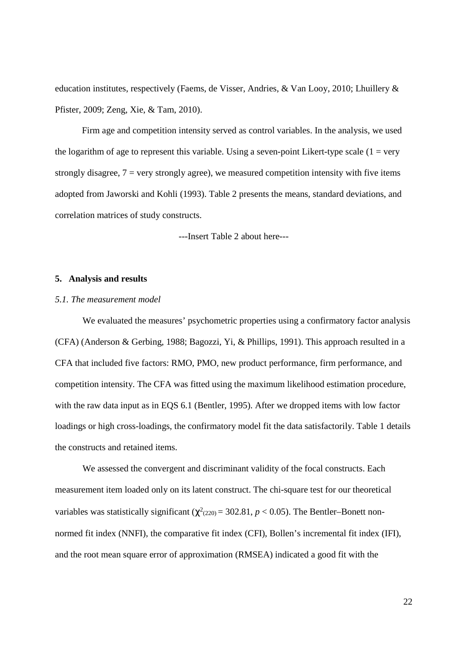education institutes, respectively (Faems, de Visser, Andries, & Van Looy, 2010; Lhuillery & Pfister, 2009; Zeng, Xie, & Tam, 2010).

 Firm age and competition intensity served as control variables. In the analysis, we used the logarithm of age to represent this variable. Using a seven-point Likert-type scale  $(1 = \text{very}$ strongly disagree,  $7 = \text{very strongly agree}$ , we measured competition intensity with five items adopted from Jaworski and Kohli (1993). Table 2 presents the means, standard deviations, and correlation matrices of study constructs.

---Insert Table 2 about here---

### **5. Analysis and results**

## *5.1. The measurement model*

We evaluated the measures' psychometric properties using a confirmatory factor analysis (CFA) (Anderson & Gerbing, 1988; Bagozzi, Yi, & Phillips, 1991). This approach resulted in a CFA that included five factors: RMO, PMO, new product performance, firm performance, and competition intensity. The CFA was fitted using the maximum likelihood estimation procedure, with the raw data input as in EQS 6.1 (Bentler, 1995). After we dropped items with low factor loadings or high cross-loadings, the confirmatory model fit the data satisfactorily. Table 1 details the constructs and retained items.

We assessed the convergent and discriminant validity of the focal constructs. Each measurement item loaded only on its latent construct. The chi-square test for our theoretical variables was statistically significant ( $\chi^2_{(220)}$  = 302.81, *p* < 0.05). The Bentler–Bonett nonnormed fit index (NNFI), the comparative fit index (CFI), Bollen's incremental fit index (IFI), and the root mean square error of approximation (RMSEA) indicated a good fit with the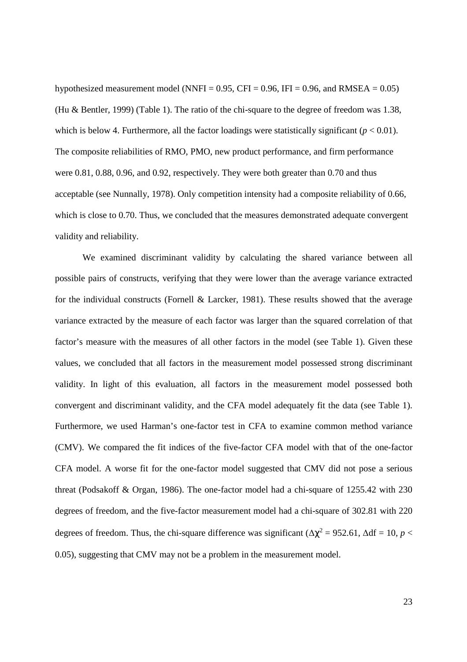hypothesized measurement model (NNFI =  $0.95$ , CFI = 0.96, IFI = 0.96, and RMSEA =  $0.05$ ) (Hu & Bentler, 1999) (Table 1). The ratio of the chi-square to the degree of freedom was 1.38, which is below 4. Furthermore, all the factor loadings were statistically significant  $(p < 0.01)$ . The composite reliabilities of RMO, PMO, new product performance, and firm performance were 0.81, 0.88, 0.96, and 0.92, respectively. They were both greater than 0.70 and thus acceptable (see Nunnally, 1978). Only competition intensity had a composite reliability of 0.66, which is close to 0.70. Thus, we concluded that the measures demonstrated adequate convergent validity and reliability.

We examined discriminant validity by calculating the shared variance between all possible pairs of constructs, verifying that they were lower than the average variance extracted for the individual constructs (Fornell  $\&$  Larcker, 1981). These results showed that the average variance extracted by the measure of each factor was larger than the squared correlation of that factor's measure with the measures of all other factors in the model (see Table 1). Given these values, we concluded that all factors in the measurement model possessed strong discriminant validity. In light of this evaluation, all factors in the measurement model possessed both convergent and discriminant validity, and the CFA model adequately fit the data (see Table 1). Furthermore, we used Harman's one-factor test in CFA to examine common method variance (CMV). We compared the fit indices of the five-factor CFA model with that of the one-factor CFA model. A worse fit for the one-factor model suggested that CMV did not pose a serious threat (Podsakoff & Organ, 1986). The one-factor model had a chi-square of 1255.42 with 230 degrees of freedom, and the five-factor measurement model had a chi-square of 302.81 with 220 degrees of freedom. Thus, the chi-square difference was significant ( $\Delta \chi^2 = 952.61$ ,  $\Delta df = 10$ ,  $p <$ 0.05), suggesting that CMV may not be a problem in the measurement model.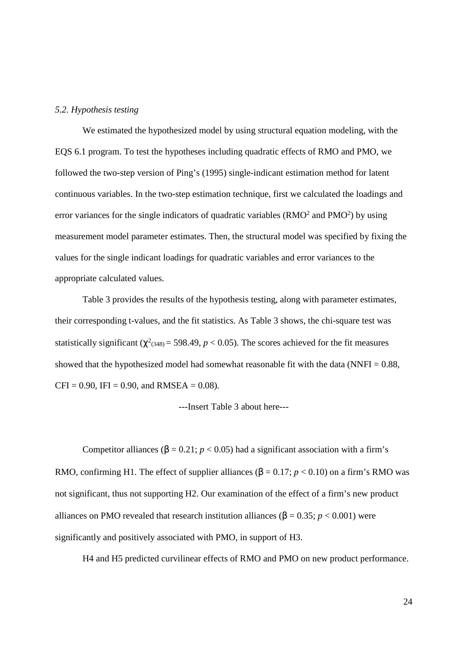## *5.2. Hypothesis testing*

We estimated the hypothesized model by using structural equation modeling, with the EQS 6.1 program. To test the hypotheses including quadratic effects of RMO and PMO, we followed the two-step version of Ping's (1995) single-indicant estimation method for latent continuous variables. In the two-step estimation technique, first we calculated the loadings and error variances for the single indicators of quadratic variables  $(RMO<sup>2</sup>$  and  $PMO<sup>2</sup>)$  by using measurement model parameter estimates. Then, the structural model was specified by fixing the values for the single indicant loadings for quadratic variables and error variances to the appropriate calculated values.

Table 3 provides the results of the hypothesis testing, along with parameter estimates, their corresponding t-values, and the fit statistics. As Table 3 shows, the chi-square test was statistically significant ( $\chi^2$ <sub>(348)</sub> = 598.49, *p* < 0.05). The scores achieved for the fit measures showed that the hypothesized model had somewhat reasonable fit with the data (NNFI  $= 0.88$ ,  $CFI = 0.90$ , IFI = 0.90, and RMSEA = 0.08).

---Insert Table 3 about here---

Competitor alliances ( $\beta = 0.21$ ;  $p < 0.05$ ) had a significant association with a firm's RMO, confirming H1. The effect of supplier alliances ( $\beta = 0.17$ ;  $p < 0.10$ ) on a firm's RMO was not significant, thus not supporting H2. Our examination of the effect of a firm's new product alliances on PMO revealed that research institution alliances ( $\beta = 0.35$ ;  $p < 0.001$ ) were significantly and positively associated with PMO, in support of H3.

H4 and H5 predicted curvilinear effects of RMO and PMO on new product performance.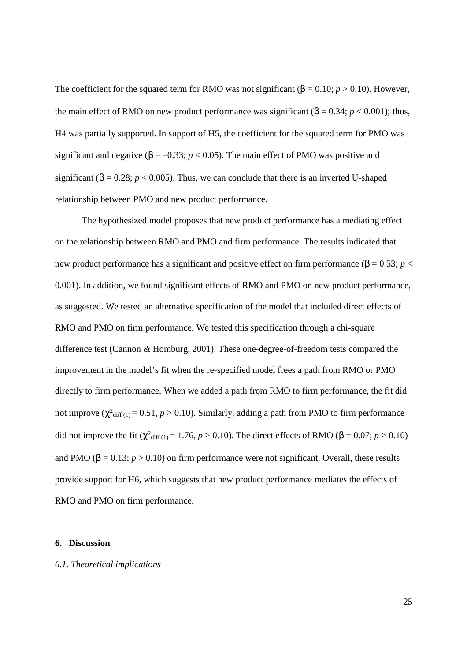The coefficient for the squared term for RMO was not significant ( $\beta = 0.10$ ; *p* > 0.10). However, the main effect of RMO on new product performance was significant ( $\beta = 0.34$ ;  $p < 0.001$ ); thus, H4 was partially supported. In support of H5, the coefficient for the squared term for PMO was significant and negative ( $\beta = -0.33$ ;  $p < 0.05$ ). The main effect of PMO was positive and significant ( $\beta = 0.28$ ;  $p < 0.005$ ). Thus, we can conclude that there is an inverted U-shaped relationship between PMO and new product performance.

The hypothesized model proposes that new product performance has a mediating effect on the relationship between RMO and PMO and firm performance. The results indicated that new product performance has a significant and positive effect on firm performance ( $\beta = 0.53$ ; *p* < 0.001). In addition, we found significant effects of RMO and PMO on new product performance, as suggested. We tested an alternative specification of the model that included direct effects of RMO and PMO on firm performance. We tested this specification through a chi-square difference test (Cannon & Homburg, 2001). These one-degree-of-freedom tests compared the improvement in the model's fit when the re-specified model frees a path from RMO or PMO directly to firm performance. When we added a path from RMO to firm performance, the fit did not improve ( $\chi^2$ <sub>diff (1)</sub> = 0.51, *p* > 0.10). Similarly, adding a path from PMO to firm performance did not improve the fit ( $\chi^2$ <sub>diff (1)</sub> = 1.76, *p* > 0.10). The direct effects of RMO ( $\beta$  = 0.07; *p* > 0.10) and PMO ( $\beta = 0.13$ ;  $p > 0.10$ ) on firm performance were not significant. Overall, these results provide support for H6, which suggests that new product performance mediates the effects of RMO and PMO on firm performance.

## **6. Discussion**

## *6.1. Theoretical implications*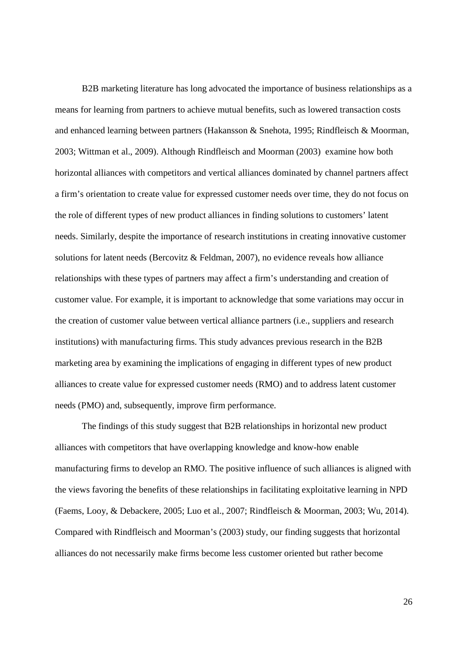B2B marketing literature has long advocated the importance of business relationships as a means for learning from partners to achieve mutual benefits, such as lowered transaction costs and enhanced learning between partners (Hakansson & Snehota, 1995; Rindfleisch & Moorman, 2003; Wittman et al., 2009). Although Rindfleisch and Moorman (2003) examine how both horizontal alliances with competitors and vertical alliances dominated by channel partners affect a firm's orientation to create value for expressed customer needs over time, they do not focus on the role of different types of new product alliances in finding solutions to customers' latent needs. Similarly, despite the importance of research institutions in creating innovative customer solutions for latent needs (Bercovitz & Feldman, 2007), no evidence reveals how alliance relationships with these types of partners may affect a firm's understanding and creation of customer value. For example, it is important to acknowledge that some variations may occur in the creation of customer value between vertical alliance partners (i.e., suppliers and research institutions) with manufacturing firms. This study advances previous research in the B2B marketing area by examining the implications of engaging in different types of new product alliances to create value for expressed customer needs (RMO) and to address latent customer needs (PMO) and, subsequently, improve firm performance.

The findings of this study suggest that B2B relationships in horizontal new product alliances with competitors that have overlapping knowledge and know-how enable manufacturing firms to develop an RMO. The positive influence of such alliances is aligned with the views favoring the benefits of these relationships in facilitating exploitative learning in NPD (Faems, Looy, & Debackere, 2005; Luo et al., 2007; Rindfleisch & Moorman, 2003; Wu, 2014). Compared with Rindfleisch and Moorman's (2003) study, our finding suggests that horizontal alliances do not necessarily make firms become less customer oriented but rather become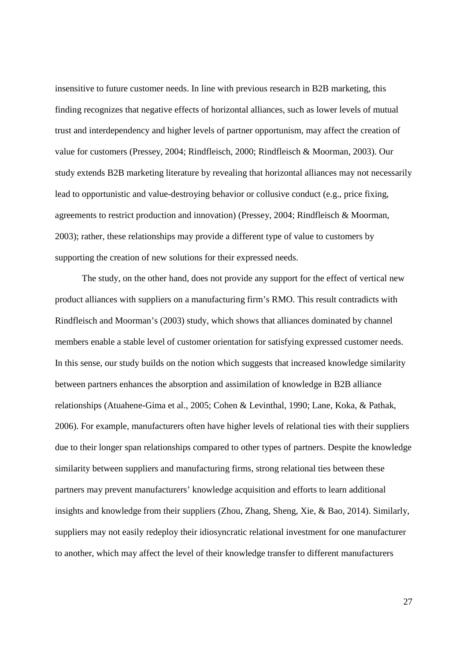insensitive to future customer needs. In line with previous research in B2B marketing, this finding recognizes that negative effects of horizontal alliances, such as lower levels of mutual trust and interdependency and higher levels of partner opportunism, may affect the creation of value for customers (Pressey, 2004; Rindfleisch, 2000; Rindfleisch & Moorman, 2003). Our study extends B2B marketing literature by revealing that horizontal alliances may not necessarily lead to opportunistic and value-destroying behavior or collusive conduct (e.g., price fixing, agreements to restrict production and innovation) (Pressey, 2004; Rindfleisch & Moorman, 2003); rather, these relationships may provide a different type of value to customers by supporting the creation of new solutions for their expressed needs.

The study, on the other hand, does not provide any support for the effect of vertical new product alliances with suppliers on a manufacturing firm's RMO. This result contradicts with Rindfleisch and Moorman's (2003) study, which shows that alliances dominated by channel members enable a stable level of customer orientation for satisfying expressed customer needs. In this sense, our study builds on the notion which suggests that increased knowledge similarity between partners enhances the absorption and assimilation of knowledge in B2B alliance relationships (Atuahene-Gima et al., 2005; Cohen & Levinthal, 1990; Lane, Koka, & Pathak, 2006). For example, manufacturers often have higher levels of relational ties with their suppliers due to their longer span relationships compared to other types of partners. Despite the knowledge similarity between suppliers and manufacturing firms, strong relational ties between these partners may prevent manufacturers' knowledge acquisition and efforts to learn additional insights and knowledge from their suppliers (Zhou, Zhang, Sheng, Xie, & Bao, 2014). Similarly, suppliers may not easily redeploy their idiosyncratic relational investment for one manufacturer to another, which may affect the level of their knowledge transfer to different manufacturers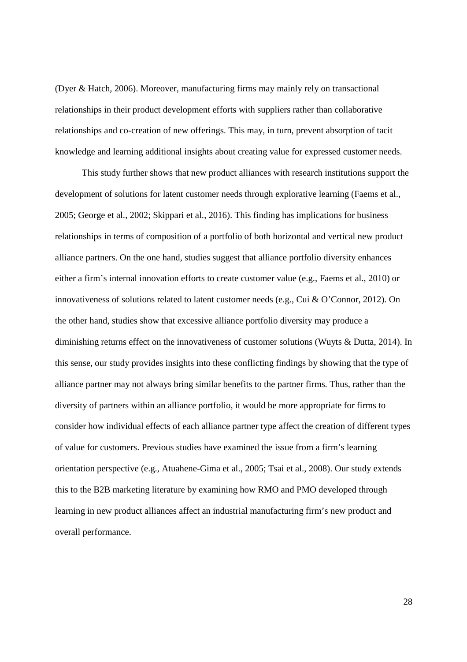(Dyer & Hatch, 2006). Moreover, manufacturing firms may mainly rely on transactional relationships in their product development efforts with suppliers rather than collaborative relationships and co-creation of new offerings. This may, in turn, prevent absorption of tacit knowledge and learning additional insights about creating value for expressed customer needs.

This study further shows that new product alliances with research institutions support the development of solutions for latent customer needs through explorative learning (Faems et al., 2005; George et al., 2002; Skippari et al., 2016). This finding has implications for business relationships in terms of composition of a portfolio of both horizontal and vertical new product alliance partners. On the one hand, studies suggest that alliance portfolio diversity enhances either a firm's internal innovation efforts to create customer value (e.g., Faems et al., 2010) or innovativeness of solutions related to latent customer needs (e.g., Cui & O'Connor, 2012). On the other hand, studies show that excessive alliance portfolio diversity may produce a diminishing returns effect on the innovativeness of customer solutions (Wuyts & Dutta, 2014). In this sense, our study provides insights into these conflicting findings by showing that the type of alliance partner may not always bring similar benefits to the partner firms. Thus, rather than the diversity of partners within an alliance portfolio, it would be more appropriate for firms to consider how individual effects of each alliance partner type affect the creation of different types of value for customers. Previous studies have examined the issue from a firm's learning orientation perspective (e.g., Atuahene-Gima et al., 2005; Tsai et al., 2008). Our study extends this to the B2B marketing literature by examining how RMO and PMO developed through learning in new product alliances affect an industrial manufacturing firm's new product and overall performance.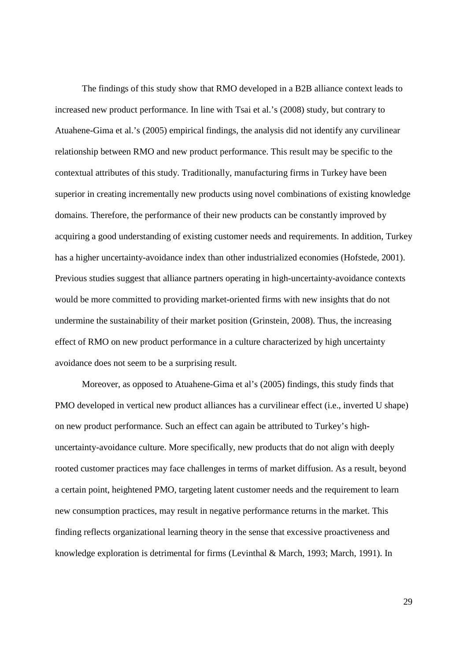The findings of this study show that RMO developed in a B2B alliance context leads to increased new product performance. In line with Tsai et al.'s (2008) study, but contrary to Atuahene-Gima et al.'s (2005) empirical findings, the analysis did not identify any curvilinear relationship between RMO and new product performance. This result may be specific to the contextual attributes of this study. Traditionally, manufacturing firms in Turkey have been superior in creating incrementally new products using novel combinations of existing knowledge domains. Therefore, the performance of their new products can be constantly improved by acquiring a good understanding of existing customer needs and requirements. In addition, Turkey has a higher uncertainty-avoidance index than other industrialized economies (Hofstede, 2001). Previous studies suggest that alliance partners operating in high-uncertainty-avoidance contexts would be more committed to providing market-oriented firms with new insights that do not undermine the sustainability of their market position (Grinstein, 2008). Thus, the increasing effect of RMO on new product performance in a culture characterized by high uncertainty avoidance does not seem to be a surprising result.

Moreover, as opposed to Atuahene-Gima et al's (2005) findings, this study finds that PMO developed in vertical new product alliances has a curvilinear effect (i.e., inverted U shape) on new product performance. Such an effect can again be attributed to Turkey's highuncertainty-avoidance culture. More specifically, new products that do not align with deeply rooted customer practices may face challenges in terms of market diffusion. As a result, beyond a certain point, heightened PMO, targeting latent customer needs and the requirement to learn new consumption practices, may result in negative performance returns in the market. This finding reflects organizational learning theory in the sense that excessive proactiveness and knowledge exploration is detrimental for firms (Levinthal & March, 1993; March, 1991). In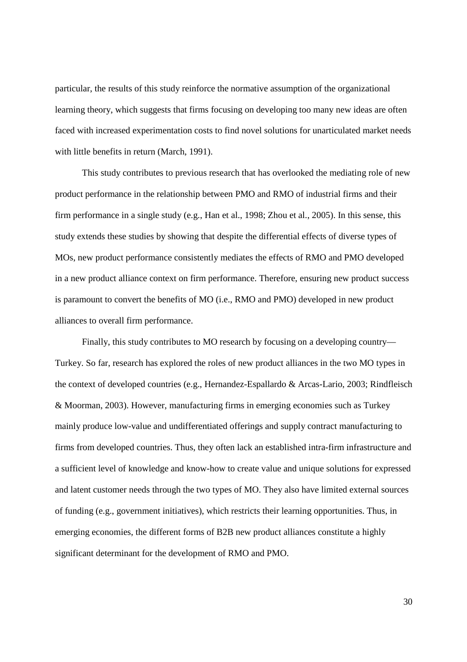particular, the results of this study reinforce the normative assumption of the organizational learning theory, which suggests that firms focusing on developing too many new ideas are often faced with increased experimentation costs to find novel solutions for unarticulated market needs with little benefits in return (March, 1991).

This study contributes to previous research that has overlooked the mediating role of new product performance in the relationship between PMO and RMO of industrial firms and their firm performance in a single study (e.g., Han et al., 1998; Zhou et al., 2005). In this sense, this study extends these studies by showing that despite the differential effects of diverse types of MOs, new product performance consistently mediates the effects of RMO and PMO developed in a new product alliance context on firm performance. Therefore, ensuring new product success is paramount to convert the benefits of MO (i.e., RMO and PMO) developed in new product alliances to overall firm performance.

Finally, this study contributes to MO research by focusing on a developing country— Turkey. So far, research has explored the roles of new product alliances in the two MO types in the context of developed countries (e.g., Hernandez-Espallardo & Arcas-Lario, 2003; Rindfleisch & Moorman, 2003). However, manufacturing firms in emerging economies such as Turkey mainly produce low-value and undifferentiated offerings and supply contract manufacturing to firms from developed countries. Thus, they often lack an established intra-firm infrastructure and a sufficient level of knowledge and know-how to create value and unique solutions for expressed and latent customer needs through the two types of MO. They also have limited external sources of funding (e.g., government initiatives), which restricts their learning opportunities. Thus, in emerging economies, the different forms of B2B new product alliances constitute a highly significant determinant for the development of RMO and PMO.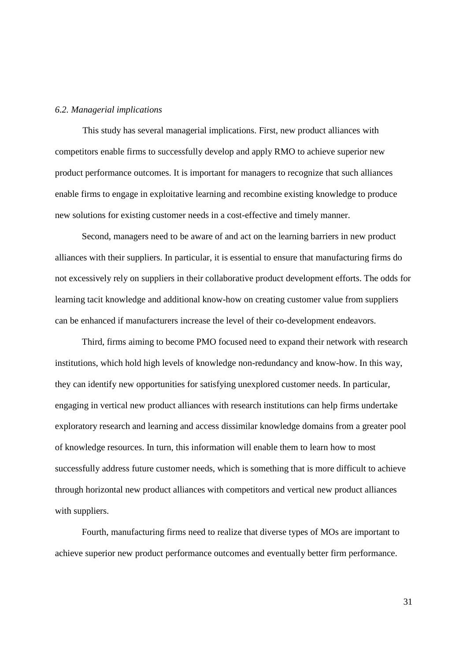## *6.2. Managerial implications*

This study has several managerial implications. First, new product alliances with competitors enable firms to successfully develop and apply RMO to achieve superior new product performance outcomes. It is important for managers to recognize that such alliances enable firms to engage in exploitative learning and recombine existing knowledge to produce new solutions for existing customer needs in a cost-effective and timely manner.

Second, managers need to be aware of and act on the learning barriers in new product alliances with their suppliers. In particular, it is essential to ensure that manufacturing firms do not excessively rely on suppliers in their collaborative product development efforts. The odds for learning tacit knowledge and additional know-how on creating customer value from suppliers can be enhanced if manufacturers increase the level of their co-development endeavors.

Third, firms aiming to become PMO focused need to expand their network with research institutions, which hold high levels of knowledge non-redundancy and know-how. In this way, they can identify new opportunities for satisfying unexplored customer needs. In particular, engaging in vertical new product alliances with research institutions can help firms undertake exploratory research and learning and access dissimilar knowledge domains from a greater pool of knowledge resources. In turn, this information will enable them to learn how to most successfully address future customer needs, which is something that is more difficult to achieve through horizontal new product alliances with competitors and vertical new product alliances with suppliers.

Fourth, manufacturing firms need to realize that diverse types of MOs are important to achieve superior new product performance outcomes and eventually better firm performance.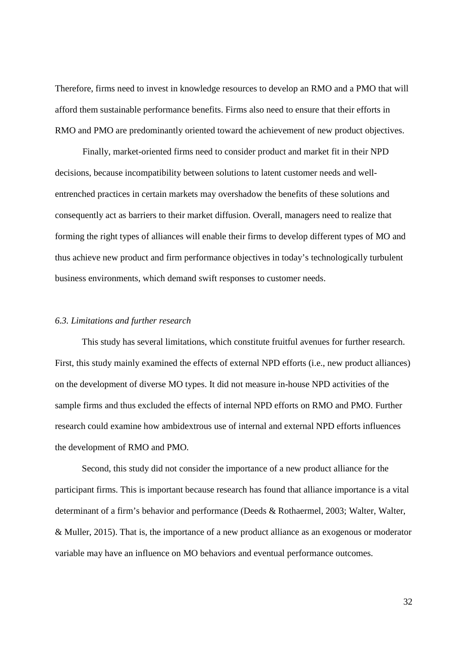Therefore, firms need to invest in knowledge resources to develop an RMO and a PMO that will afford them sustainable performance benefits. Firms also need to ensure that their efforts in RMO and PMO are predominantly oriented toward the achievement of new product objectives.

Finally, market-oriented firms need to consider product and market fit in their NPD decisions, because incompatibility between solutions to latent customer needs and wellentrenched practices in certain markets may overshadow the benefits of these solutions and consequently act as barriers to their market diffusion. Overall, managers need to realize that forming the right types of alliances will enable their firms to develop different types of MO and thus achieve new product and firm performance objectives in today's technologically turbulent business environments, which demand swift responses to customer needs.

#### *6.3. Limitations and further research*

This study has several limitations, which constitute fruitful avenues for further research. First, this study mainly examined the effects of external NPD efforts (i.e., new product alliances) on the development of diverse MO types. It did not measure in-house NPD activities of the sample firms and thus excluded the effects of internal NPD efforts on RMO and PMO. Further research could examine how ambidextrous use of internal and external NPD efforts influences the development of RMO and PMO.

Second, this study did not consider the importance of a new product alliance for the participant firms. This is important because research has found that alliance importance is a vital determinant of a firm's behavior and performance (Deeds & Rothaermel, 2003; Walter, Walter, & Muller, 2015). That is, the importance of a new product alliance as an exogenous or moderator variable may have an influence on MO behaviors and eventual performance outcomes.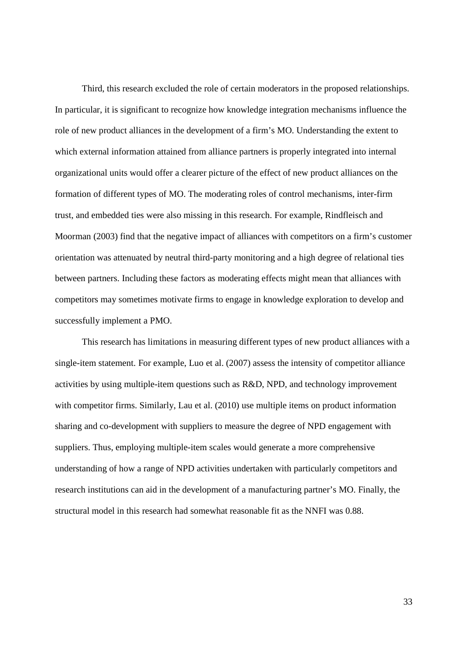Third, this research excluded the role of certain moderators in the proposed relationships. In particular, it is significant to recognize how knowledge integration mechanisms influence the role of new product alliances in the development of a firm's MO. Understanding the extent to which external information attained from alliance partners is properly integrated into internal organizational units would offer a clearer picture of the effect of new product alliances on the formation of different types of MO. The moderating roles of control mechanisms, inter-firm trust, and embedded ties were also missing in this research. For example, Rindfleisch and Moorman (2003) find that the negative impact of alliances with competitors on a firm's customer orientation was attenuated by neutral third-party monitoring and a high degree of relational ties between partners. Including these factors as moderating effects might mean that alliances with competitors may sometimes motivate firms to engage in knowledge exploration to develop and successfully implement a PMO.

This research has limitations in measuring different types of new product alliances with a single-item statement. For example, Luo et al. (2007) assess the intensity of competitor alliance activities by using multiple-item questions such as R&D, NPD, and technology improvement with competitor firms. Similarly, Lau et al. (2010) use multiple items on product information sharing and co-development with suppliers to measure the degree of NPD engagement with suppliers. Thus, employing multiple-item scales would generate a more comprehensive understanding of how a range of NPD activities undertaken with particularly competitors and research institutions can aid in the development of a manufacturing partner's MO. Finally, the structural model in this research had somewhat reasonable fit as the NNFI was 0.88.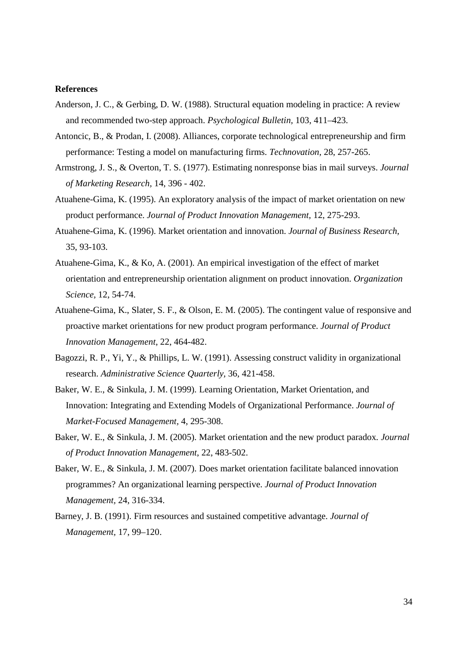## **References**

- Anderson, J. C., & Gerbing, D. W. (1988). Structural equation modeling in practice: A review and recommended two-step approach. *Psychological Bulletin,* 103, 411–423.
- Antoncic, B., & Prodan, I. (2008). Alliances, corporate technological entrepreneurship and firm performance: Testing a model on manufacturing firms. *Technovation,* 28, 257-265.
- Armstrong, J. S., & Overton, T. S. (1977). Estimating nonresponse bias in mail surveys. *Journal of Marketing Research,* 14, 396 - 402.
- Atuahene-Gima, K. (1995). An exploratory analysis of the impact of market orientation on new product performance. *Journal of Product Innovation Management,* 12, 275-293.
- Atuahene-Gima, K. (1996). Market orientation and innovation. *Journal of Business Research,* 35, 93-103.
- Atuahene-Gima, K., & Ko, A. (2001). An empirical investigation of the effect of market orientation and entrepreneurship orientation alignment on product innovation. *Organization Science,* 12, 54-74.
- Atuahene-Gima, K., Slater, S. F., & Olson, E. M. (2005). The contingent value of responsive and proactive market orientations for new product program performance. *Journal of Product Innovation Management*, 22, 464-482.
- Bagozzi, R. P., Yi, Y., & Phillips, L. W. (1991). Assessing construct validity in organizational research. *Administrative Science Quarterly,* 36, 421-458.
- Baker, W. E., & Sinkula, J. M. (1999). Learning Orientation, Market Orientation, and Innovation: Integrating and Extending Models of Organizational Performance. *Journal of Market-Focused Management,* 4, 295-308.
- Baker, W. E., & Sinkula, J. M. (2005). Market orientation and the new product paradox*. Journal of Product Innovation Management*, 22, 483-502.
- Baker, W. E., & Sinkula, J. M. (2007). Does market orientation facilitate balanced innovation programmes? An organizational learning perspective. *Journal of Product Innovation Management,* 24, 316-334.
- Barney, J. B. (1991). Firm resources and sustained competitive advantage. *Journal of Management,* 17, 99–120.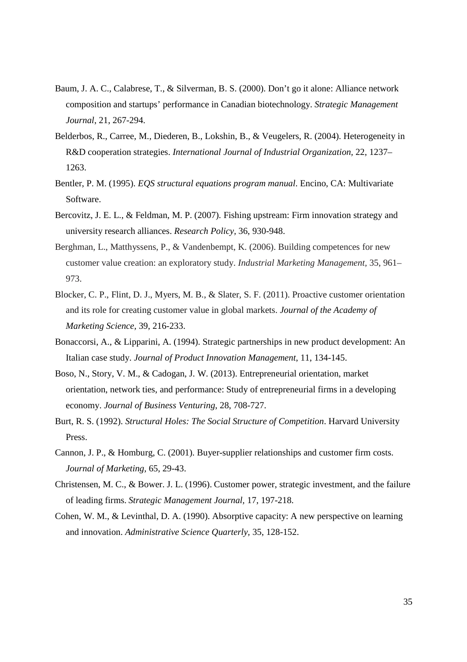- Baum, J. A. C., Calabrese, T., & Silverman, B. S. (2000). Don't go it alone: Alliance network composition and startups' performance in Canadian biotechnology. *Strategic Management Journal*, 21, 267-294.
- Belderbos, R., Carree, M., Diederen, B., Lokshin, B., & Veugelers, R. (2004). Heterogeneity in R&D cooperation strategies. *International Journal of Industrial Organization,* 22, 1237– 1263.
- Bentler, P. M. (1995). *EQS structural equations program manual*. Encino, CA: Multivariate Software.
- Bercovitz, J. E. L., & Feldman, M. P. (2007). Fishing upstream: Firm innovation strategy and university research alliances. *Research Policy,* 36, 930-948.
- Berghman, L., Matthyssens, P., & Vandenbempt, K. (2006). Building competences for new customer value creation: an exploratory study. *Industrial Marketing Management,* 35, 961– 973.
- Blocker, C. P., Flint, D. J., Myers, M. B., & Slater, S. F. (2011). Proactive customer orientation and its role for creating customer value in global markets. *Journal of the Academy of Marketing Science,* 39, 216-233.
- Bonaccorsi, A., & Lipparini, A. (1994). Strategic partnerships in new product development: An Italian case study. *Journal of Product Innovation Management*, 11, 134-145.
- Boso, N., Story, V. M., & Cadogan, J. W. (2013). Entrepreneurial orientation, market orientation, network ties, and performance: Study of entrepreneurial firms in a developing economy. *Journal of Business Venturing*, 28, 708-727.
- Burt, R. S. (1992). *Structural Holes: The Social Structure of Competition*. Harvard University Press.
- Cannon, J. P., & Homburg, C. (2001). Buyer-supplier relationships and customer firm costs. *Journal of Marketing,* 65, 29-43.
- Christensen, M. C., & Bower. J. L. (1996). Customer power, strategic investment, and the failure of leading firms. *Strategic Management Journal,* 17, 197-218.
- Cohen, W. M., & Levinthal, D. A. (1990). Absorptive capacity: A new perspective on learning and innovation. *Administrative Science Quarterly,* 35, 128-152.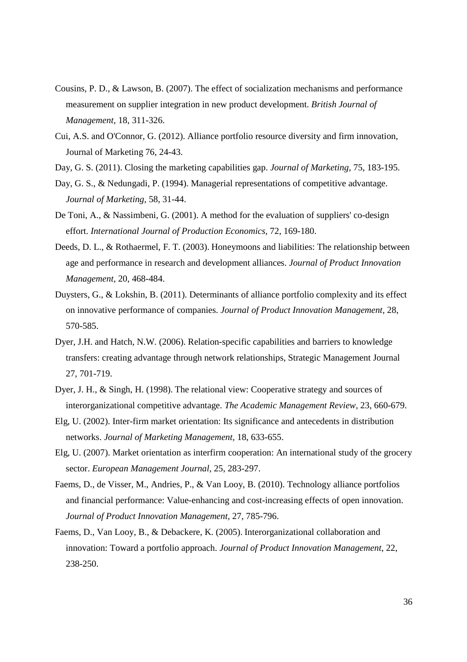- Cousins, P. D., & Lawson, B. (2007). The effect of socialization mechanisms and performance measurement on supplier integration in new product development. *British Journal of Management,* 18, 311-326.
- Cui, A.S. and O'Connor, G. (2012). Alliance portfolio resource diversity and firm innovation, Journal of Marketing 76, 24-43.
- Day, G. S. (2011). Closing the marketing capabilities gap. *Journal of Marketing,* 75, 183-195.
- Day, G. S., & Nedungadi, P. (1994). Managerial representations of competitive advantage. *Journal of Marketing,* 58, 31-44.
- De Toni, A., & Nassimbeni, G. (2001). A method for the evaluation of suppliers' co-design effort. *International Journal of Production Economics,* 72, 169-180.
- Deeds, D. L., & Rothaermel, F. T. (2003). Honeymoons and liabilities: The relationship between age and performance in research and development alliances. *Journal of Product Innovation Management*, 20, 468-484.
- Duysters, G., & Lokshin, B. (2011). Determinants of alliance portfolio complexity and its effect on innovative performance of companies. *Journal of Product Innovation Management,* 28, 570-585.
- Dyer, J.H. and Hatch, N.W. (2006). Relation-specific capabilities and barriers to knowledge transfers: creating advantage through network relationships, Strategic Management Journal 27, 701-719.
- Dyer, J. H., & Singh, H. (1998). The relational view: Cooperative strategy and sources of interorganizational competitive advantage. *The Academic Management Review,* 23, 660-679.
- Elg, U. (2002). Inter-firm market orientation: Its significance and antecedents in distribution networks. *Journal of Marketing Management,* 18, 633-655.
- Elg, U. (2007). Market orientation as interfirm cooperation: An international study of the grocery sector. *European Management Journal,* 25, 283-297.
- Faems, D., de Visser, M., Andries, P., & Van Looy, B. (2010). Technology alliance portfolios and financial performance: Value-enhancing and cost-increasing effects of open innovation. *Journal of Product Innovation Management,* 27, 785-796.
- Faems, D., Van Looy, B., & Debackere, K. (2005). Interorganizational collaboration and innovation: Toward a portfolio approach. *Journal of Product Innovation Management*, 22, 238-250.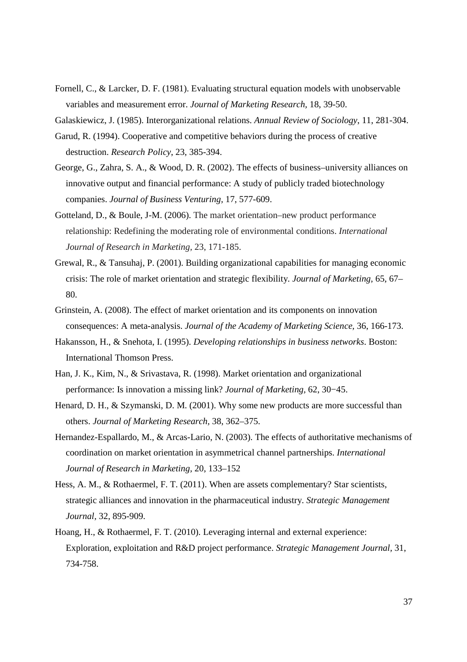Fornell, C., & Larcker, D. F. (1981). Evaluating structural equation models with unobservable variables and measurement error. *Journal of Marketing Research,* 18, 39-50.

Galaskiewicz, J. (1985). Interorganizational relations. *Annual Review of Sociology*, 11, 281-304.

- Garud, R. (1994). Cooperative and competitive behaviors during the process of creative destruction. *Research Policy*, 23, 385-394.
- George, G., Zahra, S. A., & Wood, D. R. (2002). The effects of business–university alliances on innovative output and financial performance: A study of publicly traded biotechnology companies. *Journal of Business Venturing,* 17, 577-609.
- Gotteland, D., & Boule, J-M. (2006). The market orientation–new product performance relationship: Redefining the moderating role of environmental conditions. *International Journal of Research in Marketing,* 23, 171-185.
- Grewal, R., & Tansuhaj, P. (2001). Building organizational capabilities for managing economic crisis: The role of market orientation and strategic flexibility. *Journal of Marketing,* 65, 67– 80.
- Grinstein, A. (2008). The effect of market orientation and its components on innovation consequences: A meta-analysis. *Journal of the Academy of Marketing Science,* 36, 166-173.
- Hakansson, H., & Snehota, I. (1995). *Developing relationships in business networks*. Boston: International Thomson Press.
- Han, J. K., Kim, N., & Srivastava, R. (1998). Market orientation and organizational performance: Is innovation a missing link? *Journal of Marketing,* 62, 30−45.
- Henard, D. H., & Szymanski, D. M. (2001). Why some new products are more successful than others. *Journal of Marketing Research,* 38, 362–375.
- Hernandez-Espallardo, M., & Arcas-Lario, N. (2003). The effects of authoritative mechanisms of coordination on market orientation in asymmetrical channel partnerships. *International Journal of Research in Marketing,* 20, 133–152
- Hess, A. M., & Rothaermel, F. T. (2011). When are assets complementary? Star scientists, strategic alliances and innovation in the pharmaceutical industry. *Strategic Management Journal,* 32, 895-909.
- Hoang, H., & Rothaermel, F. T. (2010). Leveraging internal and external experience: Exploration, exploitation and R&D project performance. *Strategic Management Journal,* 31, 734-758.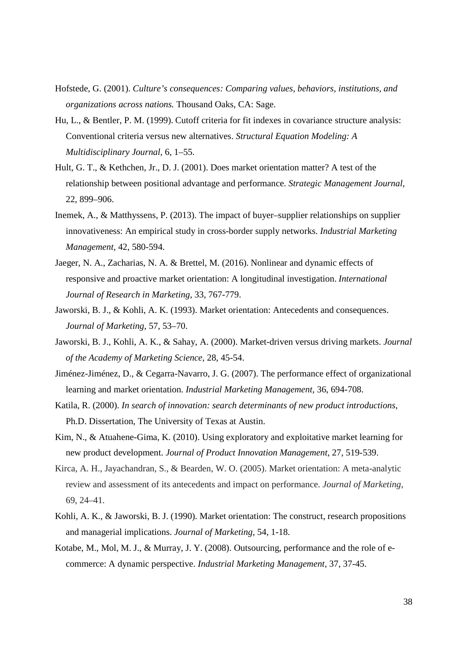- Hofstede, G. (2001). *Culture's consequences: Comparing values, behaviors, institutions, and organizations across nations.* Thousand Oaks, CA: Sage.
- Hu, L., & Bentler, P. M. (1999). Cutoff criteria for fit indexes in covariance structure analysis: Conventional criteria versus new alternatives. *Structural Equation Modeling: A Multidisciplinary Journal,* 6, 1–55.
- Hult, G. T., & Kethchen, Jr., D. J. (2001). Does market orientation matter? A test of the relationship between positional advantage and performance. *Strategic Management Journal*, 22, 899–906.
- Inemek, A., & Matthyssens, P. (2013). The impact of buyer–supplier relationships on supplier innovativeness: An empirical study in cross-border supply networks. *Industrial Marketing Management,* 42, 580-594.
- Jaeger, N. A., Zacharias, N. A. & Brettel, M. (2016). Nonlinear and dynamic effects of responsive and proactive market orientation: A longitudinal investigation. *International Journal of Research in Marketing*, 33, 767-779.
- Jaworski, B. J., & Kohli, A. K. (1993). Market orientation: Antecedents and consequences. *Journal of Marketing*, 57, 53–70.
- Jaworski, B. J., Kohli, A. K., & Sahay, A. (2000). Market-driven versus driving markets. *Journal of the Academy of Marketing Science,* 28, 45-54.
- Jiménez-Jiménez, D., & Cegarra-Navarro, J. G. (2007). The performance effect of organizational learning and market orientation. *Industrial Marketing Management,* 36, 694-708.
- Katila, R. (2000). *In search of innovation: search determinants of new product introductions*, Ph.D. Dissertation, The University of Texas at Austin.
- Kim, N., & Atuahene-Gima, K. (2010). Using exploratory and exploitative market learning for new product development. *Journal of Product Innovation Management*, 27, 519-539.
- Kirca, A. H., Jayachandran, S., & Bearden, W. O. (2005). Market orientation: A meta-analytic review and assessment of its antecedents and impact on performance. *Journal of Marketing,* 69, 24–41.
- Kohli, A. K., & Jaworski, B. J. (1990). Market orientation: The construct, research propositions and managerial implications. *Journal of Marketing,* 54, 1-18.
- Kotabe, M., Mol, M. J., & Murray, J. Y. (2008). Outsourcing, performance and the role of ecommerce: A dynamic perspective. *Industrial Marketing Management,* 37, 37-45.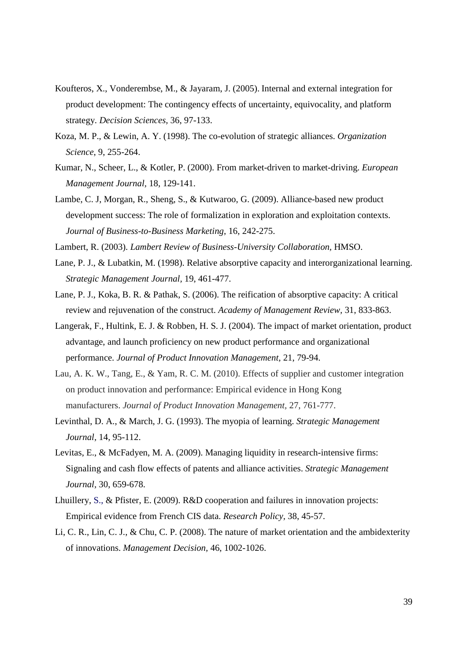- Koufteros, X., Vonderembse, M., & Jayaram, J. (2005). Internal and external integration for product development: The contingency effects of uncertainty, equivocality, and platform strategy. *Decision Sciences,* 36, 97-133.
- Koza, M. P., & Lewin, A. Y. (1998). The co-evolution of strategic alliances. *Organization Science*, 9, 255-264.
- Kumar, N., Scheer, L., & Kotler, P. (2000). From market-driven to market-driving. *European Management Journal,* 18, 129-141.
- Lambe, C. J, Morgan, R., Sheng, S., & Kutwaroo, G. (2009). Alliance-based new product development success: The role of formalization in exploration and exploitation contexts. *Journal of Business-to-Business Marketing*, 16, 242-275.
- Lambert, R. (2003). *Lambert Review of Business-University Collaboration,* HMSO.
- Lane, P. J., & Lubatkin, M. (1998). Relative absorptive capacity and interorganizational learning. *Strategic Management Journal,* 19, 461-477.
- Lane, P. J., Koka, B. R. & Pathak, S. (2006). The reification of absorptive capacity: A critical review and rejuvenation of the construct. *Academy of Management Review,* 31, 833-863.
- Langerak, F., Hultink, E. J. & Robben, H. S. J. (2004). The impact of market orientation, product advantage, and launch proficiency on new product performance and organizational performance. *Journal of Product Innovation Management,* 21, 79-94.
- Lau, A. K. W., Tang, E., & Yam, R. C. M. (2010). Effects of supplier and customer integration on product innovation and performance: Empirical evidence in Hong Kong manufacturers. *Journal of Product Innovation Management,* 27, 761-777.
- Levinthal, D. A., & March, J. G. (1993). The myopia of learning. *Strategic Management Journal,* 14, 95-112.
- Levitas, E., & McFadyen, M. A. (2009). Managing liquidity in research-intensive firms: Signaling and cash flow effects of patents and alliance activities. *Strategic Management Journal,* 30, 659-678.
- Lhuillery, S., & Pfister, E. (2009). R&D cooperation and failures in innovation projects: Empirical evidence from French CIS data. *Research Policy,* 38, 45-57.
- Li, C. R., Lin, C. J., & Chu, C. P. (2008). The nature of market orientation and the ambidexterity of innovations. *Management Decision,* 46, 1002-1026.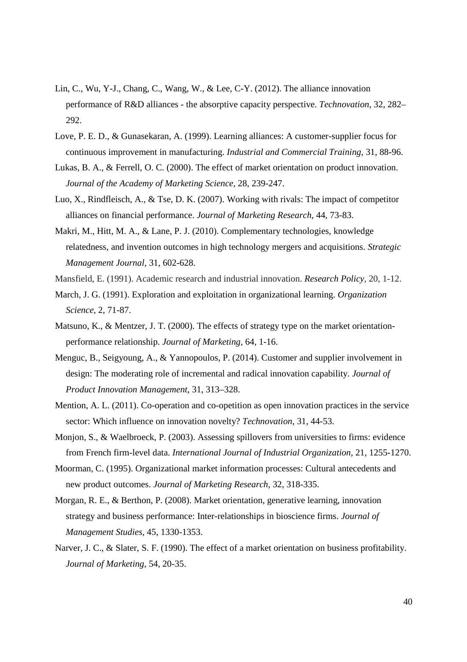- Lin, C., Wu, Y-J., Chang, C., Wang, W., & Lee, C-Y. (2012). The alliance innovation performance of R&D alliances - the absorptive capacity perspective. *Technovation*, 32, 282– 292.
- Love, P. E. D., & Gunasekaran, A. (1999). Learning alliances: A customer-supplier focus for continuous improvement in manufacturing. *Industrial and Commercial Training*, 31, 88-96.
- Lukas, B. A., & Ferrell, O. C. (2000). The effect of market orientation on product innovation. *Journal of the Academy of Marketing Science,* 28, 239-247.
- Luo, X., Rindfleisch, A., & Tse, D. K. (2007). Working with rivals: The impact of competitor alliances on financial performance. *Journal of Marketing Research,* 44, 73-83.
- Makri, M., Hitt, M. A., & Lane, P. J. (2010). Complementary technologies, knowledge relatedness, and invention outcomes in high technology mergers and acquisitions. *Strategic Management Journal,* 31, 602-628.
- Mansfield, E. (1991). Academic research and industrial innovation. *Research Policy*, 20, 1-12.
- March, J. G. (1991). Exploration and exploitation in organizational learning. *Organization Science,* 2, 71-87.
- Matsuno, K., & Mentzer, J. T. (2000). The effects of strategy type on the market orientationperformance relationship. *Journal of Marketing,* 64, 1-16.
- Menguc, B., Seigyoung, A., & Yannopoulos, P. (2014). Customer and supplier involvement in design: The moderating role of incremental and radical innovation capability. *Journal of Product Innovation Management*, 31, 313–328.
- Mention, A. L. (2011). Co-operation and co-opetition as open innovation practices in the service sector: Which influence on innovation novelty? *Technovation*, 31, 44-53.
- Monjon, S., & Waelbroeck, P. (2003). Assessing spillovers from universities to firms: evidence from French firm-level data. *International Journal of Industrial Organization*, 21, 1255-1270.
- Moorman, C. (1995). Organizational market information processes: Cultural antecedents and new product outcomes. *Journal of Marketing Research,* 32, 318-335.
- Morgan, R. E., & Berthon, P. (2008). Market orientation, generative learning, innovation strategy and business performance: Inter-relationships in bioscience firms. *Journal of Management Studies,* 45, 1330-1353.
- Narver, J. C., & Slater, S. F. (1990). The effect of a market orientation on business profitability. *Journal of Marketing,* 54, 20-35.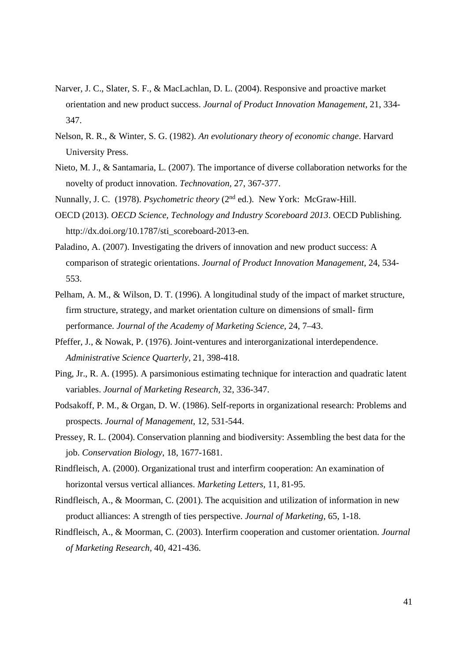- Narver, J. C., Slater, S. F., & MacLachlan, D. L. (2004). Responsive and proactive market orientation and new product success. *Journal of Product Innovation Management,* 21, 334- 347.
- Nelson, R. R., & Winter, S. G. (1982). *An evolutionary theory of economic change*. Harvard University Press.
- Nieto, M. J., & Santamaria, L. (2007). The importance of diverse collaboration networks for the novelty of product innovation. *Technovation,* 27, 367-377.
- Nunnally, J. C. (1978). *Psychometric theory* (2nd ed.). New York: McGraw-Hill.
- OECD (2013). *OECD Science, Technology and Industry Scoreboard 2013*. OECD Publishing. http://dx.doi.org/10.1787/sti\_scoreboard-2013-en.
- Paladino, A. (2007). Investigating the drivers of innovation and new product success: A comparison of strategic orientations. *Journal of Product Innovation Management*, 24, 534- 553.
- Pelham, A. M., & Wilson, D. T. (1996). A longitudinal study of the impact of market structure, firm structure, strategy, and market orientation culture on dimensions of small- firm performance. *Journal of the Academy of Marketing Science,* 24, 7–43.
- Pfeffer, J., & Nowak, P. (1976). Joint-ventures and interorganizational interdependence. *Administrative Science Quarterly,* 21, 398-418.
- Ping, Jr., R. A. (1995). A parsimonious estimating technique for interaction and quadratic latent variables. *Journal of Marketing Research,* 32, 336-347.
- Podsakoff, P. M., & Organ, D. W. (1986). Self-reports in organizational research: Problems and prospects. *Journal of Management*, 12, 531-544.
- Pressey, R. L. (2004). Conservation planning and biodiversity: Assembling the best data for the job. *Conservation Biology*, 18, 1677-1681.
- Rindfleisch, A. (2000). Organizational trust and interfirm cooperation: An examination of horizontal versus vertical alliances. *Marketing Letters,* 11, 81-95.
- Rindfleisch, A., & Moorman, C. (2001). The acquisition and utilization of information in new product alliances: A strength of ties perspective. *Journal of Marketing*, 65, 1-18.
- Rindfleisch, A., & Moorman, C. (2003). Interfirm cooperation and customer orientation. *Journal of Marketing Research,* 40, 421-436.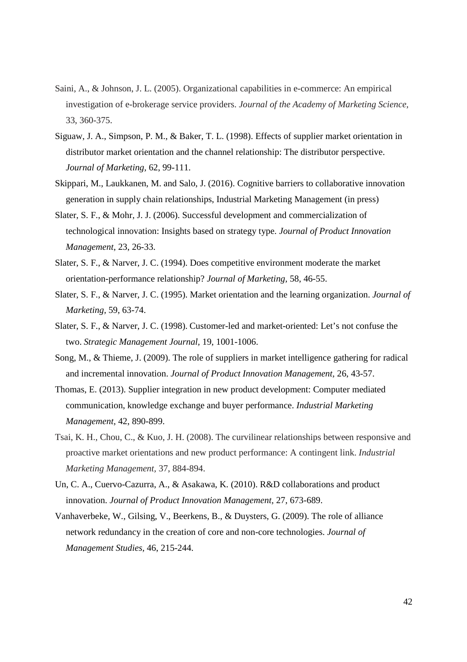- Saini, A., & Johnson, J. L. (2005). Organizational capabilities in e-commerce: An empirical investigation of e-brokerage service providers. *Journal of the Academy of Marketing Science,* 33, 360-375.
- Siguaw, J. A., Simpson, P. M., & Baker, T. L. (1998). Effects of supplier market orientation in distributor market orientation and the channel relationship: The distributor perspective. *Journal of Marketing,* 62, 99-111.
- Skippari, M., Laukkanen, M. and Salo, J. (2016). Cognitive barriers to collaborative innovation generation in supply chain relationships, Industrial Marketing Management (in press)
- Slater, S. F., & Mohr, J. J. (2006). Successful development and commercialization of technological innovation: Insights based on strategy type. *Journal of Product Innovation Management*, 23, 26-33.
- Slater, S. F., & Narver, J. C. (1994). Does competitive environment moderate the market orientation-performance relationship? *Journal of Marketing,* 58, 46-55.
- Slater, S. F., & Narver, J. C. (1995). Market orientation and the learning organization. *Journal of Marketing,* 59, 63-74.
- Slater, S. F., & Narver, J. C. (1998). Customer-led and market-oriented: Let's not confuse the two. *Strategic Management Journal,* 19, 1001-1006.
- Song, M., & Thieme, J. (2009). The role of suppliers in market intelligence gathering for radical and incremental innovation. *Journal of Product Innovation Management,* 26, 43-57.
- Thomas, E. (2013). Supplier integration in new product development: Computer mediated communication, knowledge exchange and buyer performance. *Industrial Marketing Management*, 42, 890-899.
- Tsai, K. H., Chou, C., & Kuo, J. H. (2008). The curvilinear relationships between responsive and proactive market orientations and new product performance: A contingent link. *Industrial Marketing Management,* 37, 884-894.
- Un, C. A., Cuervo-Cazurra, A., & Asakawa, K. (2010). R&D collaborations and product innovation. *Journal of Product Innovation Management,* 27, 673-689.
- Vanhaverbeke, W., Gilsing, V., Beerkens, B., & Duysters, G. (2009). The role of alliance network redundancy in the creation of core and non-core technologies. *Journal of Management Studies,* 46, 215-244.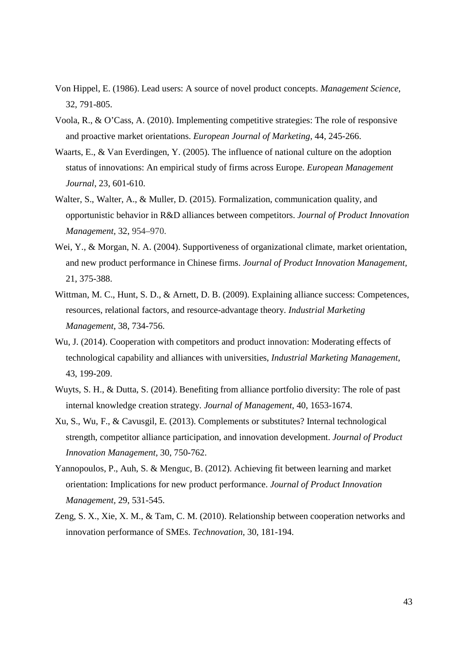- Von Hippel, E. (1986). Lead users: A source of novel product concepts. *Management Science,* 32, 791-805.
- Voola, R., & O'Cass, A. (2010). Implementing competitive strategies: The role of responsive and proactive market orientations. *European Journal of Marketing,* 44, 245-266.
- Waarts, E., & Van Everdingen, Y. (2005). The influence of national culture on the adoption status of innovations: An empirical study of firms across Europe. *European Management Journal*, 23, 601-610.
- Walter, S., Walter, A., & Muller, D. (2015). Formalization, communication quality, and opportunistic behavior in R&D alliances between competitors. *Journal of Product Innovation Management,* 32, 954–970.
- Wei, Y., & Morgan, N. A. (2004). Supportiveness of organizational climate, market orientation, and new product performance in Chinese firms. *Journal of Product Innovation Management,*  21, 375-388.
- Wittman, M. C., Hunt, S. D., & Arnett, D. B. (2009). Explaining alliance success: Competences, resources, relational factors, and resource-advantage theory. *Industrial Marketing Management*, 38, 734-756.
- Wu, J. (2014). Cooperation with competitors and product innovation: Moderating effects of technological capability and alliances with universities, *Industrial Marketing Management*, 43, 199-209.
- Wuyts, S. H., & Dutta, S. (2014). Benefiting from alliance portfolio diversity: The role of past internal knowledge creation strategy. *Journal of Management*, 40, 1653-1674.
- Xu, S., Wu, F., & Cavusgil, E. (2013). Complements or substitutes? Internal technological strength, competitor alliance participation, and innovation development. *Journal of Product Innovation Management,* 30, 750-762.
- Yannopoulos, P., Auh, S. & Menguc, B. (2012). Achieving fit between learning and market orientation: Implications for new product performance. *Journal of Product Innovation Management,* 29, 531-545.
- Zeng, S. X., Xie, X. M., & Tam, C. M. (2010). Relationship between cooperation networks and innovation performance of SMEs. *Technovation,* 30, 181-194.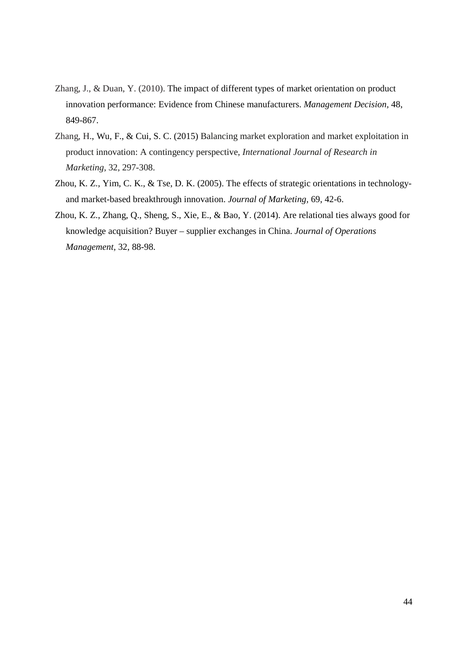- Zhang, J., & Duan, Y. (2010). The impact of different types of market orientation on product innovation performance: Evidence from Chinese manufacturers. *Management Decision,* 48, 849-867.
- Zhang, H., Wu, F., & Cui, S. C. (2015) Balancing market exploration and market exploitation in product innovation: A contingency perspective, *International Journal of Research in Marketing*, 32, 297-308.
- Zhou, K. Z., Yim, C. K., & Tse, D. K. (2005). The effects of strategic orientations in technologyand market-based breakthrough innovation. *Journal of Marketing,* 69, 42-6.
- Zhou, K. Z., Zhang, Q., Sheng, S., Xie, E., & Bao, Y. (2014). Are relational ties always good for knowledge acquisition? Buyer – supplier exchanges in China. *Journal of Operations Management,* 32, 88-98.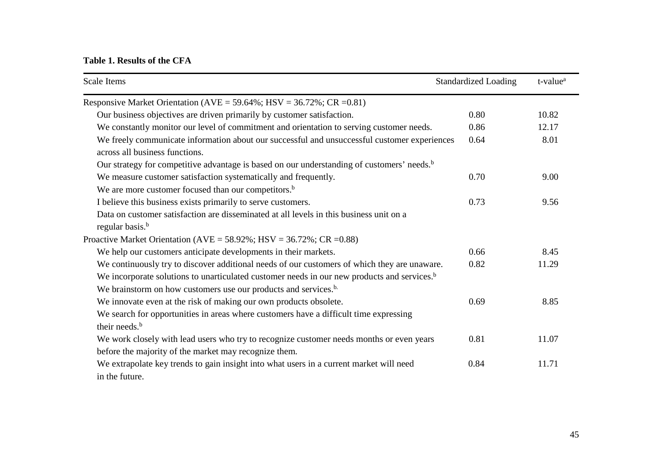# **Table 1. Results of the CFA**

| Scale Items                                                                                             | <b>Standardized Loading</b> | t-value <sup>a</sup> |  |  |  |  |  |
|---------------------------------------------------------------------------------------------------------|-----------------------------|----------------------|--|--|--|--|--|
| Responsive Market Orientation ( $AVE = 59.64\%$ ; $HSV = 36.72\%$ ; $CR = 0.81$ )                       |                             |                      |  |  |  |  |  |
| Our business objectives are driven primarily by customer satisfaction.                                  | 0.80                        | 10.82                |  |  |  |  |  |
| We constantly monitor our level of commitment and orientation to serving customer needs.                | 0.86                        | 12.17                |  |  |  |  |  |
| We freely communicate information about our successful and unsuccessful customer experiences            | 0.64                        | 8.01                 |  |  |  |  |  |
| across all business functions.                                                                          |                             |                      |  |  |  |  |  |
| Our strategy for competitive advantage is based on our understanding of customers' needs. <sup>b</sup>  |                             |                      |  |  |  |  |  |
| We measure customer satisfaction systematically and frequently.                                         | 0.70                        | 9.00                 |  |  |  |  |  |
| We are more customer focused than our competitors. <sup>b</sup>                                         |                             |                      |  |  |  |  |  |
| I believe this business exists primarily to serve customers.                                            | 0.73                        | 9.56                 |  |  |  |  |  |
| Data on customer satisfaction are disseminated at all levels in this business unit on a                 |                             |                      |  |  |  |  |  |
| regular basis. <sup>b</sup>                                                                             |                             |                      |  |  |  |  |  |
| Proactive Market Orientation ( $AVE = 58.92\%$ ; $HSV = 36.72\%$ ; $CR = 0.88$ )                        |                             |                      |  |  |  |  |  |
| We help our customers anticipate developments in their markets.                                         | 0.66                        | 8.45                 |  |  |  |  |  |
| We continuously try to discover additional needs of our customers of which they are unaware.            | 0.82                        | 11.29                |  |  |  |  |  |
| We incorporate solutions to unarticulated customer needs in our new products and services. <sup>b</sup> |                             |                      |  |  |  |  |  |
| We brainstorm on how customers use our products and services. <sup>b.</sup>                             |                             |                      |  |  |  |  |  |
| We innovate even at the risk of making our own products obsolete.                                       | 0.69                        | 8.85                 |  |  |  |  |  |
| We search for opportunities in areas where customers have a difficult time expressing                   |                             |                      |  |  |  |  |  |
| their needs. <sup>b</sup>                                                                               |                             |                      |  |  |  |  |  |
| We work closely with lead users who try to recognize customer needs months or even years                | 0.81                        | 11.07                |  |  |  |  |  |
| before the majority of the market may recognize them.                                                   |                             |                      |  |  |  |  |  |
| We extrapolate key trends to gain insight into what users in a current market will need                 | 0.84                        | 11.71                |  |  |  |  |  |
| in the future.                                                                                          |                             |                      |  |  |  |  |  |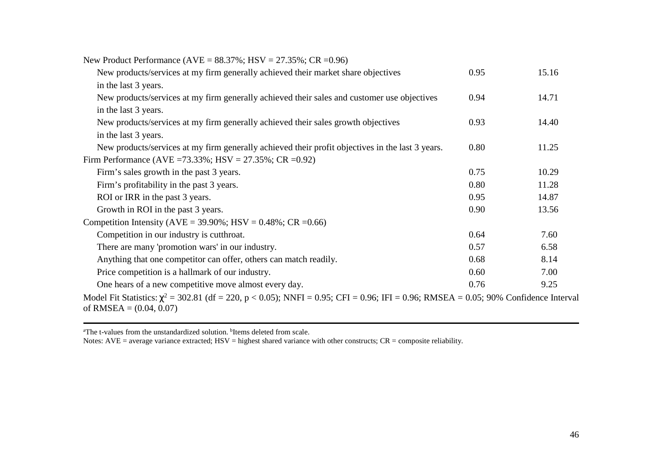| New Product Performance (AVE = $88.37\%$ ; HSV = $27.35\%$ ; CR = 0.96)                                                                                               |      |       |
|-----------------------------------------------------------------------------------------------------------------------------------------------------------------------|------|-------|
| New products/services at my firm generally achieved their market share objectives                                                                                     | 0.95 | 15.16 |
| in the last 3 years.                                                                                                                                                  |      |       |
| New products/services at my firm generally achieved their sales and customer use objectives                                                                           | 0.94 | 14.71 |
| in the last 3 years.                                                                                                                                                  |      |       |
| New products/services at my firm generally achieved their sales growth objectives                                                                                     | 0.93 | 14.40 |
| in the last 3 years.                                                                                                                                                  |      |       |
| New products/services at my firm generally achieved their profit objectives in the last 3 years.                                                                      | 0.80 | 11.25 |
| Firm Performance (AVE = 73.33%; HSV = $27.35\%$ ; CR = 0.92)                                                                                                          |      |       |
| Firm's sales growth in the past 3 years.                                                                                                                              | 0.75 | 10.29 |
| Firm's profitability in the past 3 years.                                                                                                                             | 0.80 | 11.28 |
| ROI or IRR in the past 3 years.                                                                                                                                       | 0.95 | 14.87 |
| Growth in ROI in the past 3 years.                                                                                                                                    | 0.90 | 13.56 |
| Competition Intensity ( $AVE = 39.90\%$ ; $HSV = 0.48\%$ ; $CR = 0.66$ )                                                                                              |      |       |
| Competition in our industry is cutthroat.                                                                                                                             | 0.64 | 7.60  |
| There are many 'promotion wars' in our industry.                                                                                                                      | 0.57 | 6.58  |
| Anything that one competitor can offer, others can match readily.                                                                                                     | 0.68 | 8.14  |
| Price competition is a hallmark of our industry.                                                                                                                      | 0.60 | 7.00  |
| One hears of a new competitive move almost every day.                                                                                                                 | 0.76 | 9.25  |
| Model Fit Statistics: $\chi^2$ = 302.81 (df = 220, p < 0.05); NNFI = 0.95; CFI = 0.96; IFI = 0.96; RMSEA = 0.05; 90% Confidence Interval<br>of RMSEA = $(0.04, 0.07)$ |      |       |

<sup>a</sup>The t-values from the unstandardized solution. <sup>b</sup>Items deleted from scale.<br>Notes: AVE = average variance extracted; HSV = highest shared variance with other constructs; CR = composite reliability.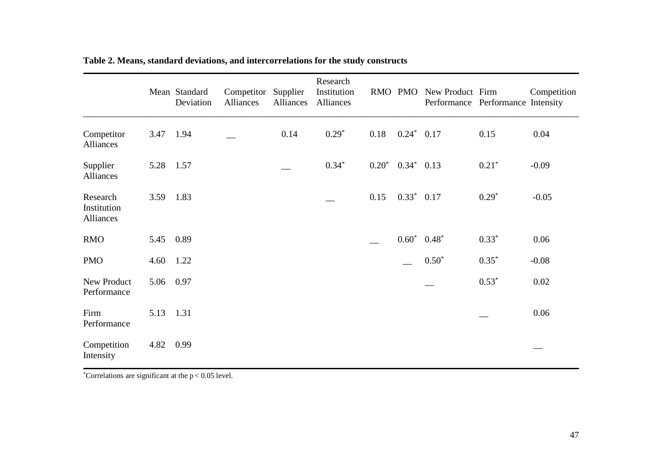|                                      |      | Mean Standard<br>Deviation | Competitor Supplier<br>Alliances | <b>Alliances</b> | Research<br>Institution<br>Alliances |         |               | RMO PMO New Product Firm<br>Performance Performance Intensity |         | Competition |
|--------------------------------------|------|----------------------------|----------------------------------|------------------|--------------------------------------|---------|---------------|---------------------------------------------------------------|---------|-------------|
| Competitor<br>Alliances              | 3.47 | 1.94                       |                                  | 0.14             | $0.29*$                              | 0.18    | $0.24*$       | 0.17                                                          | 0.15    | 0.04        |
| Supplier<br>Alliances                | 5.28 | 1.57                       |                                  |                  | $0.34*$                              | $0.20*$ | $0.34*$       | 0.13                                                          | $0.21*$ | $-0.09$     |
| Research<br>Institution<br>Alliances | 3.59 | 1.83                       |                                  |                  |                                      | 0.15    | $0.33^*$ 0.17 |                                                               | $0.29*$ | $-0.05$     |
| <b>RMO</b>                           | 5.45 | 0.89                       |                                  |                  |                                      |         | $0.60*$       | $0.48*$                                                       | $0.33*$ | 0.06        |
| <b>PMO</b>                           | 4.60 | 1.22                       |                                  |                  |                                      |         |               | $0.50*$                                                       | $0.35*$ | $-0.08$     |
| New Product<br>Performance           | 5.06 | 0.97                       |                                  |                  |                                      |         |               |                                                               | $0.53*$ | 0.02        |
| Firm<br>Performance                  | 5.13 | 1.31                       |                                  |                  |                                      |         |               |                                                               |         | 0.06        |
| Competition<br>Intensity             | 4.82 | 0.99                       |                                  |                  |                                      |         |               |                                                               |         |             |

**Table 2. Means, standard deviations, and intercorrelations for the study constructs** 

\*Correlations are significant at the  $p < 0.05$  level.